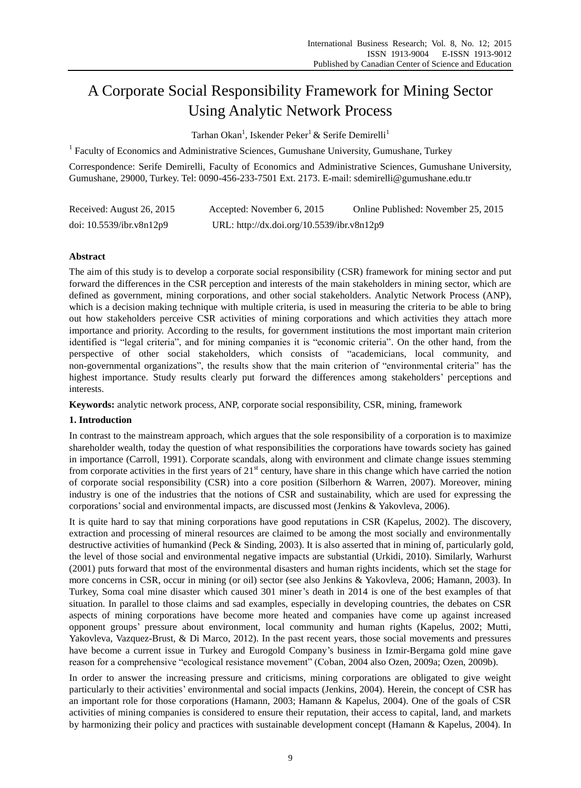# A Corporate Social Responsibility Framework for Mining Sector Using Analytic Network Process

Tarhan Okan<sup>1</sup>, Iskender Peker<sup>1</sup> & Serife Demirelli<sup>1</sup>

<sup>1</sup> Faculty of Economics and Administrative Sciences, Gumushane University, Gumushane, Turkey

Correspondence: Serife Demirelli, Faculty of Economics and Administrative Sciences, Gumushane University, Gumushane, 29000, Turkey. Tel: 0090-456-233-7501 Ext. 2173. E-mail: sdemirelli@gumushane.edu.tr

| Received: August 26, 2015      | Accepted: November 6, 2015                 | Online Published: November 25, 2015 |
|--------------------------------|--------------------------------------------|-------------------------------------|
| doi: $10.5539$ /ibr.v8n $12p9$ | URL: http://dx.doi.org/10.5539/ibr.v8n12p9 |                                     |

## **Abstract**

The aim of this study is to develop a corporate social responsibility (CSR) framework for mining sector and put forward the differences in the CSR perception and interests of the main stakeholders in mining sector, which are defined as government, mining corporations, and other social stakeholders. Analytic Network Process (ANP), which is a decision making technique with multiple criteria, is used in measuring the criteria to be able to bring out how stakeholders perceive CSR activities of mining corporations and which activities they attach more importance and priority. According to the results, for government institutions the most important main criterion identified is "legal criteria", and for mining companies it is "economic criteria". On the other hand, from the perspective of other social stakeholders, which consists of "academicians, local community, and non-governmental organizations", the results show that the main criterion of "environmental criteria" has the highest importance. Study results clearly put forward the differences among stakeholders' perceptions and interests.

**Keywords:** analytic network process, ANP, corporate social responsibility, CSR, mining, framework

## **1. Introduction**

In contrast to the mainstream approach, which argues that the sole responsibility of a corporation is to maximize shareholder wealth, today the question of what responsibilities the corporations have towards society has gained in importance (Carroll, 1991). Corporate scandals, along with environment and climate change issues stemming from corporate activities in the first years of  $21<sup>st</sup>$  century, have share in this change which have carried the notion of corporate social responsibility (CSR) into a core position (Silberhorn & Warren, 2007). Moreover, mining industry is one of the industries that the notions of CSR and sustainability, which are used for expressing the corporations"social and environmental impacts, are discussed most (Jenkins & Yakovleva, 2006).

It is quite hard to say that mining corporations have good reputations in CSR (Kapelus, 2002). The discovery, extraction and processing of mineral resources are claimed to be among the most socially and environmentally destructive activities of humankind (Peck & Sinding, 2003). It is also asserted that in mining of, particularly gold, the level of those social and environmental negative impacts are substantial (Urkidi, 2010). Similarly, Warhurst (2001) puts forward that most of the environmental disasters and human rights incidents, which set the stage for more concerns in CSR, occur in mining (or oil) sector (see also Jenkins & Yakovleva, 2006; Hamann, 2003). In Turkey, Soma coal mine disaster which caused 301 miner"s death in 2014 is one of the best examples of that situation. In parallel to those claims and sad examples, especially in developing countries, the debates on CSR aspects of mining corporations have become more heated and companies have come up against increased opponent groups" pressure about environment, local community and human rights (Kapelus, 2002; Mutti, Yakovleva, Vazquez-Brust, & Di Marco, 2012). In the past recent years, those social movements and pressures have become a current issue in Turkey and Eurogold Company"s business in Izmir-Bergama gold mine gave reason for a comprehensive "ecological resistance movement" (Coban, 2004 also Ozen, 2009a; Ozen, 2009b).

In order to answer the increasing pressure and criticisms, mining corporations are obligated to give weight particularly to their activities' environmental and social impacts (Jenkins, 2004). Herein, the concept of CSR has an important role for those corporations (Hamann, 2003; Hamann & Kapelus, 2004). One of the goals of CSR activities of mining companies is considered to ensure their reputation, their access to capital, land, and markets by harmonizing their policy and practices with sustainable development concept (Hamann & Kapelus, 2004). In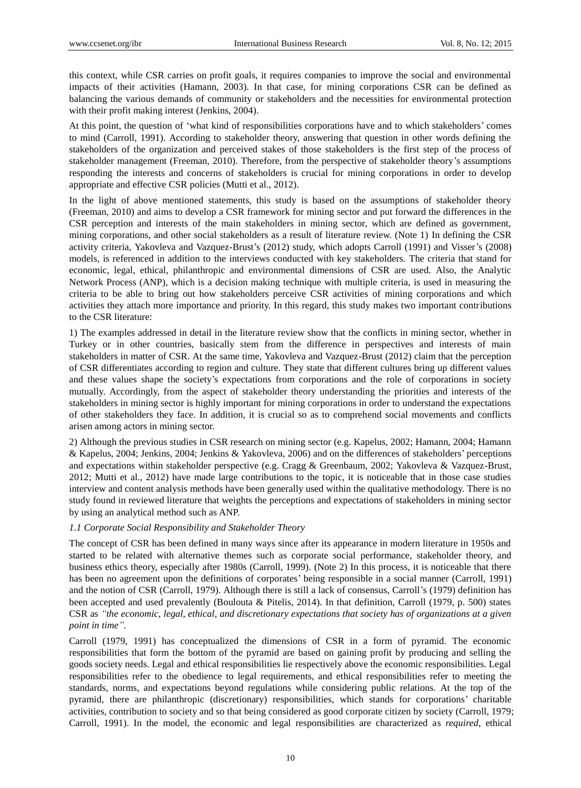this context, while CSR carries on profit goals, it requires companies to improve the social and environmental impacts of their activities (Hamann, 2003). In that case, for mining corporations CSR can be defined as balancing the various demands of community or stakeholders and the necessities for environmental protection with their profit making interest (Jenkins, 2004).

At this point, the question of "what kind of responsibilities corporations have and to which stakeholders" comes to mind (Carroll, 1991). According to stakeholder theory, answering that question in other words defining the stakeholders of the organization and perceived stakes of those stakeholders is the first step of the process of stakeholder management (Freeman, 2010). Therefore, from the perspective of stakeholder theory"s assumptions responding the interests and concerns of stakeholders is crucial for mining corporations in order to develop appropriate and effective CSR policies (Mutti et al., 2012).

In the light of above mentioned statements, this study is based on the assumptions of stakeholder theory (Freeman, 2010) and aims to develop a CSR framework for mining sector and put forward the differences in the CSR perception and interests of the main stakeholders in mining sector, which are defined as government, mining corporations, and other social stakeholders as a result of literature review. (Note 1) In defining the CSR activity criteria, Yakovleva and Vazquez-Brust's (2012) study, which adopts Carroll (1991) and Visser's (2008) models, is referenced in addition to the interviews conducted with key stakeholders. The criteria that stand for economic, legal, ethical, philanthropic and environmental dimensions of CSR are used. Also, the Analytic Network Process (ANP), which is a decision making technique with multiple criteria, is used in measuring the criteria to be able to bring out how stakeholders perceive CSR activities of mining corporations and which activities they attach more importance and priority. In this regard, this study makes two important contributions to the CSR literature:

1) The examples addressed in detail in the literature review show that the conflicts in mining sector, whether in Turkey or in other countries, basically stem from the difference in perspectives and interests of main stakeholders in matter of CSR. At the same time, Yakovleva and Vazquez-Brust (2012) claim that the perception of CSR differentiates according to region and culture. They state that different cultures bring up different values and these values shape the society's expectations from corporations and the role of corporations in society mutually. Accordingly, from the aspect of stakeholder theory understanding the priorities and interests of the stakeholders in mining sector is highly important for mining corporations in order to understand the expectations of other stakeholders they face. In addition, it is crucial so as to comprehend social movements and conflicts arisen among actors in mining sector.

2) Although the previous studies in CSR research on mining sector (e.g. Kapelus, 2002; Hamann, 2004; Hamann & Kapelus, 2004; Jenkins, 2004; Jenkins & Yakovleva, 2006) and on the differences of stakeholders" perceptions and expectations within stakeholder perspective (e.g. Cragg & Greenbaum, 2002; Yakovleva & Vazquez-Brust, 2012; Mutti et al., 2012) have made large contributions to the topic, it is noticeable that in those case studies interview and content analysis methods have been generally used within the qualitative methodology. There is no study found in reviewed literature that weights the perceptions and expectations of stakeholders in mining sector by using an analytical method such as ANP.

## *1.1 Corporate Social Responsibility and Stakeholder Theory*

The concept of CSR has been defined in many ways since after its appearance in modern literature in 1950s and started to be related with alternative themes such as corporate social performance, stakeholder theory, and business ethics theory, especially after 1980s (Carroll, 1999). (Note 2) In this process, it is noticeable that there has been no agreement upon the definitions of corporates' being responsible in a social manner (Carroll, 1991) and the notion of CSR (Carroll, 1979). Although there is still a lack of consensus, Carroll"s (1979) definition has been accepted and used prevalently (Boulouta & Pitelis, 2014). In that definition, Carroll (1979, p. 500) states CSR as *"the economic, legal, ethical, and discretionary expectations that society has of organizations at a given point in time".*

Carroll (1979, 1991) has conceptualized the dimensions of CSR in a form of pyramid. The economic responsibilities that form the bottom of the pyramid are based on gaining profit by producing and selling the goods society needs. Legal and ethical responsibilities lie respectively above the economic responsibilities. Legal responsibilities refer to the obedience to legal requirements, and ethical responsibilities refer to meeting the standards, norms, and expectations beyond regulations while considering public relations. At the top of the pyramid, there are philanthropic (discretionary) responsibilities, which stands for corporations" charitable activities, contribution to society and so that being considered as good corporate citizen by society (Carroll, 1979; Carroll, 1991). In the model, the economic and legal responsibilities are characterized as *required*, ethical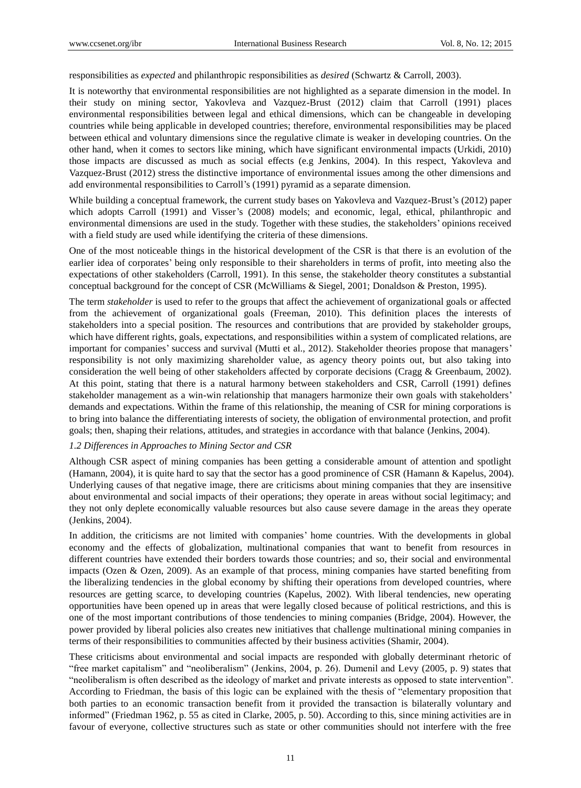responsibilities as *expected* and philanthropic responsibilities as *desired* (Schwartz & Carroll, 2003).

It is noteworthy that environmental responsibilities are not highlighted as a separate dimension in the model. In their study on mining sector, Yakovleva and Vazquez-Brust (2012) claim that Carroll (1991) places environmental responsibilities between legal and ethical dimensions, which can be changeable in developing countries while being applicable in developed countries; therefore, environmental responsibilities may be placed between ethical and voluntary dimensions since the regulative climate is weaker in developing countries. On the other hand, when it comes to sectors like mining, which have significant environmental impacts (Urkidi, 2010) those impacts are discussed as much as social effects (e.g Jenkins, 2004). In this respect, Yakovleva and Vazquez-Brust (2012) stress the distinctive importance of environmental issues among the other dimensions and add environmental responsibilities to Carroll"s (1991) pyramid as a separate dimension.

While building a conceptual framework, the current study bases on Yakovleva and Vazquez-Brust's (2012) paper which adopts Carroll (1991) and Visser's (2008) models; and economic, legal, ethical, philanthropic and environmental dimensions are used in the study. Together with these studies, the stakeholders" opinions received with a field study are used while identifying the criteria of these dimensions.

One of the most noticeable things in the historical development of the CSR is that there is an evolution of the earlier idea of corporates' being only responsible to their shareholders in terms of profit, into meeting also the expectations of other stakeholders (Carroll, 1991). In this sense, the stakeholder theory constitutes a substantial conceptual background for the concept of CSR (McWilliams & Siegel, 2001; Donaldson & Preston, 1995).

The term *stakeholder* is used to refer to the groups that affect the achievement of organizational goals or affected from the achievement of organizational goals (Freeman, 2010). This definition places the interests of stakeholders into a special position. The resources and contributions that are provided by stakeholder groups, which have different rights, goals, expectations, and responsibilities within a system of complicated relations, are important for companies' success and survival (Mutti et al., 2012). Stakeholder theories propose that managers' responsibility is not only maximizing shareholder value, as agency theory points out, but also taking into consideration the well being of other stakeholders affected by corporate decisions (Cragg & Greenbaum, 2002). At this point, stating that there is a natural harmony between stakeholders and CSR, Carroll (1991) defines stakeholder management as a win-win relationship that managers harmonize their own goals with stakeholders" demands and expectations. Within the frame of this relationship, the meaning of CSR for mining corporations is to bring into balance the differentiating interests of society, the obligation of environmental protection, and profit goals; then, shaping their relations, attitudes, and strategies in accordance with that balance (Jenkins, 2004).

## *1.2 Differences in Approaches to Mining Sector and CSR*

Although CSR aspect of mining companies has been getting a considerable amount of attention and spotlight (Hamann, 2004), it is quite hard to say that the sector has a good prominence of CSR (Hamann & Kapelus, 2004). Underlying causes of that negative image, there are criticisms about mining companies that they are insensitive about environmental and social impacts of their operations; they operate in areas without social legitimacy; and they not only deplete economically valuable resources but also cause severe damage in the areas they operate (Jenkins, 2004).

In addition, the criticisms are not limited with companies" home countries. With the developments in global economy and the effects of globalization, multinational companies that want to benefit from resources in different countries have extended their borders towards those countries; and so, their social and environmental impacts (Ozen & Ozen, 2009). As an example of that process, mining companies have started benefiting from the liberalizing tendencies in the global economy by shifting their operations from developed countries, where resources are getting scarce, to developing countries (Kapelus, 2002). With liberal tendencies, new operating opportunities have been opened up in areas that were legally closed because of political restrictions, and this is one of the most important contributions of those tendencies to mining companies (Bridge, 2004). However, the power provided by liberal policies also creates new initiatives that challenge multinational mining companies in terms of their responsibilities to communities affected by their business activities (Shamir, 2004).

These criticisms about environmental and social impacts are responded with globally determinant rhetoric of "free market capitalism" and "neoliberalism" (Jenkins, 2004, p. 26). Dumenil and Levy (2005, p. 9) states that "neoliberalism is often described as the ideology of market and private interests as opposed to state intervention". According to Friedman, the basis of this logic can be explained with the thesis of "elementary proposition that both parties to an economic transaction benefit from it provided the transaction is bilaterally voluntary and informed" (Friedman 1962, p. 55 as cited in Clarke, 2005, p. 50). According to this, since mining activities are in favour of everyone, collective structures such as state or other communities should not interfere with the free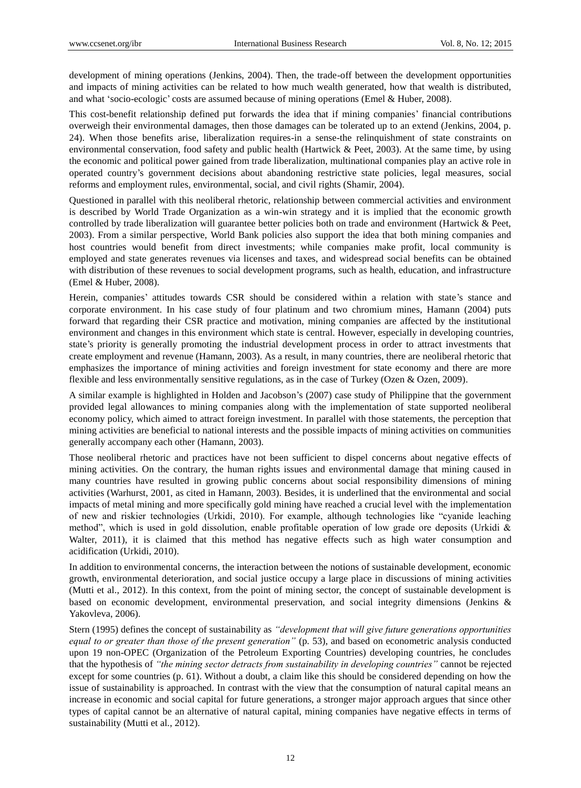development of mining operations (Jenkins, 2004). Then, the trade-off between the development opportunities and impacts of mining activities can be related to how much wealth generated, how that wealth is distributed, and what "socio-ecologic" costs are assumed because of mining operations (Emel & Huber, 2008).

This cost-benefit relationship defined put forwards the idea that if mining companies" financial contributions overweigh their environmental damages, then those damages can be tolerated up to an extend (Jenkins, 2004, p. 24). When those benefits arise, liberalization requires-in a sense-the relinquishment of state constraints on environmental conservation, food safety and public health (Hartwick & Peet, 2003). At the same time, by using the economic and political power gained from trade liberalization, multinational companies play an active role in operated country"s government decisions about abandoning restrictive state policies, legal measures, social reforms and employment rules, environmental, social, and civil rights (Shamir, 2004).

Questioned in parallel with this neoliberal rhetoric, relationship between commercial activities and environment is described by World Trade Organization as a win-win strategy and it is implied that the economic growth controlled by trade liberalization will guarantee better policies both on trade and environment (Hartwick & Peet, 2003). From a similar perspective, World Bank policies also support the idea that both mining companies and host countries would benefit from direct investments; while companies make profit, local community is employed and state generates revenues via licenses and taxes, and widespread social benefits can be obtained with distribution of these revenues to social development programs, such as health, education, and infrastructure (Emel & Huber, 2008).

Herein, companies' attitudes towards CSR should be considered within a relation with state's stance and corporate environment. In his case study of four platinum and two chromium mines, Hamann (2004) puts forward that regarding their CSR practice and motivation, mining companies are affected by the institutional environment and changes in this environment which state is central. However, especially in developing countries, state"s priority is generally promoting the industrial development process in order to attract investments that create employment and revenue (Hamann, 2003). As a result, in many countries, there are neoliberal rhetoric that emphasizes the importance of mining activities and foreign investment for state economy and there are more flexible and less environmentally sensitive regulations, as in the case of Turkey (Ozen & Ozen, 2009).

A similar example is highlighted in Holden and Jacobson"s (2007) case study of Philippine that the government provided legal allowances to mining companies along with the implementation of state supported neoliberal economy policy, which aimed to attract foreign investment. In parallel with those statements, the perception that mining activities are beneficial to national interests and the possible impacts of mining activities on communities generally accompany each other (Hamann, 2003).

Those neoliberal rhetoric and practices have not been sufficient to dispel concerns about negative effects of mining activities. On the contrary, the human rights issues and environmental damage that mining caused in many countries have resulted in growing public concerns about social responsibility dimensions of mining activities (Warhurst, 2001, as cited in Hamann, 2003). Besides, it is underlined that the environmental and social impacts of metal mining and more specifically gold mining have reached a crucial level with the implementation of new and riskier technologies (Urkidi, 2010). For example, although technologies like "cyanide leaching method", which is used in gold dissolution, enable profitable operation of low grade ore deposits (Urkidi & Walter, 2011), it is claimed that this method has negative effects such as high water consumption and acidification (Urkidi, 2010).

In addition to environmental concerns, the interaction between the notions of sustainable development, economic growth, environmental deterioration, and social justice occupy a large place in discussions of mining activities (Mutti et al., 2012). In this context, from the point of mining sector, the concept of sustainable development is based on economic development, environmental preservation, and social integrity dimensions (Jenkins & Yakovleva, 2006).

Stern (1995) defines the concept of sustainability as *"development that will give future generations opportunities equal to or greater than those of the present generation"* (p. 53), and based on econometric analysis conducted upon 19 non-OPEC (Organization of the Petroleum Exporting Countries) developing countries, he concludes that the hypothesis of *"the mining sector detracts from sustainability in developing countries"* cannot be rejected except for some countries (p. 61). Without a doubt, a claim like this should be considered depending on how the issue of sustainability is approached. In contrast with the view that the consumption of natural capital means an increase in economic and social capital for future generations, a stronger major approach argues that since other types of capital cannot be an alternative of natural capital, mining companies have negative effects in terms of sustainability (Mutti et al., 2012).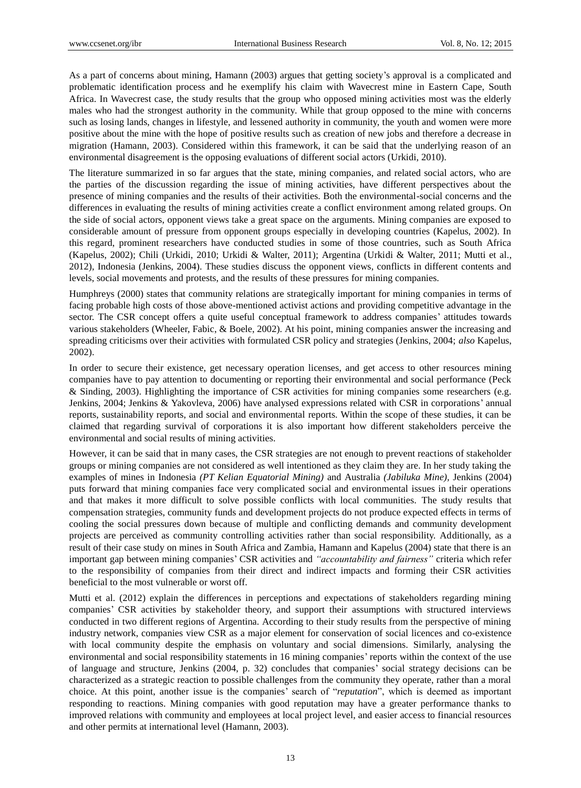As a part of concerns about mining, Hamann (2003) argues that getting society's approval is a complicated and problematic identification process and he exemplify his claim with Wavecrest mine in Eastern Cape, South Africa. In Wavecrest case, the study results that the group who opposed mining activities most was the elderly males who had the strongest authority in the community. While that group opposed to the mine with concerns such as losing lands, changes in lifestyle, and lessened authority in community, the youth and women were more positive about the mine with the hope of positive results such as creation of new jobs and therefore a decrease in migration (Hamann, 2003). Considered within this framework, it can be said that the underlying reason of an environmental disagreement is the opposing evaluations of different social actors (Urkidi, 2010).

The literature summarized in so far argues that the state, mining companies, and related social actors, who are the parties of the discussion regarding the issue of mining activities, have different perspectives about the presence of mining companies and the results of their activities. Both the environmental-social concerns and the differences in evaluating the results of mining activities create a conflict environment among related groups. On the side of social actors, opponent views take a great space on the arguments. Mining companies are exposed to considerable amount of pressure from opponent groups especially in developing countries (Kapelus, 2002). In this regard, prominent researchers have conducted studies in some of those countries, such as South Africa (Kapelus, 2002); Chili (Urkidi, 2010; Urkidi & Walter, 2011); Argentina (Urkidi & Walter, 2011; Mutti et al., 2012), Indonesia (Jenkins, 2004). These studies discuss the opponent views, conflicts in different contents and levels, social movements and protests, and the results of these pressures for mining companies.

Humphreys (2000) states that community relations are strategically important for mining companies in terms of facing probable high costs of those above-mentioned activist actions and providing competitive advantage in the sector. The CSR concept offers a quite useful conceptual framework to address companies' attitudes towards various stakeholders (Wheeler, Fabic, & Boele, 2002). At his point, mining companies answer the increasing and spreading criticisms over their activities with formulated CSR policy and strategies (Jenkins, 2004; *also* Kapelus, 2002).

In order to secure their existence, get necessary operation licenses, and get access to other resources mining companies have to pay attention to documenting or reporting their environmental and social performance (Peck & Sinding, 2003). Highlighting the importance of CSR activities for mining companies some researchers (e.g. Jenkins, 2004; Jenkins & Yakovleva, 2006) have analysed expressions related with CSR in corporations" annual reports, sustainability reports, and social and environmental reports. Within the scope of these studies, it can be claimed that regarding survival of corporations it is also important how different stakeholders perceive the environmental and social results of mining activities.

However, it can be said that in many cases, the CSR strategies are not enough to prevent reactions of stakeholder groups or mining companies are not considered as well intentioned as they claim they are. In her study taking the examples of mines in Indonesia *(PT Kelian Equatorial Mining)* and Australia *(Jabiluka Mine),* Jenkins (2004) puts forward that mining companies face very complicated social and environmental issues in their operations and that makes it more difficult to solve possible conflicts with local communities. The study results that compensation strategies, community funds and development projects do not produce expected effects in terms of cooling the social pressures down because of multiple and conflicting demands and community development projects are perceived as community controlling activities rather than social responsibility. Additionally, as a result of their case study on mines in South Africa and Zambia, Hamann and Kapelus (2004) state that there is an important gap between mining companies" CSR activities and *"accountability and fairness"* criteria which refer to the responsibility of companies from their direct and indirect impacts and forming their CSR activities beneficial to the most vulnerable or worst off.

Mutti et al. (2012) explain the differences in perceptions and expectations of stakeholders regarding mining companies" CSR activities by stakeholder theory, and support their assumptions with structured interviews conducted in two different regions of Argentina. According to their study results from the perspective of mining industry network, companies view CSR as a major element for conservation of social licences and co-existence with local community despite the emphasis on voluntary and social dimensions. Similarly, analysing the environmental and social responsibility statements in 16 mining companies' reports within the context of the use of language and structure, Jenkins (2004, p. 32) concludes that companies" social strategy decisions can be characterized as a strategic reaction to possible challenges from the community they operate, rather than a moral choice. At this point, another issue is the companies" search of "*reputation*", which is deemed as important responding to reactions. Mining companies with good reputation may have a greater performance thanks to improved relations with community and employees at local project level, and easier access to financial resources and other permits at international level (Hamann, 2003).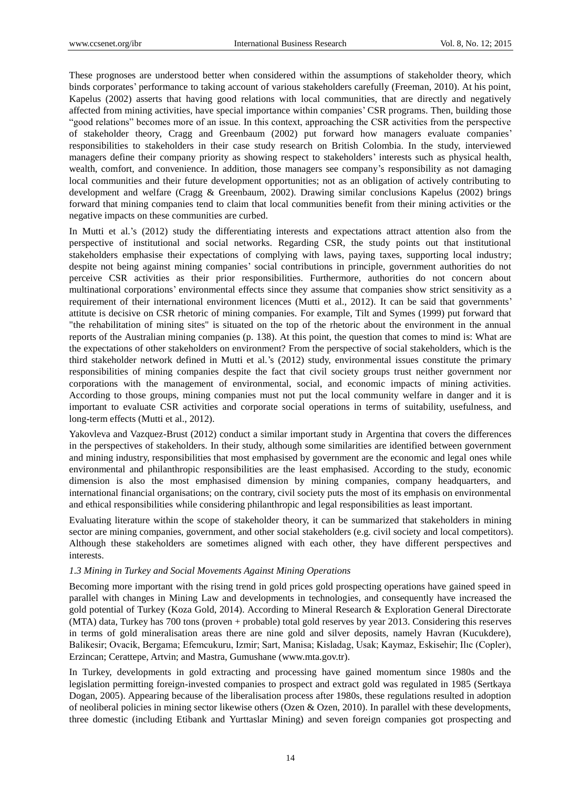These prognoses are understood better when considered within the assumptions of stakeholder theory, which binds corporates" performance to taking account of various stakeholders carefully (Freeman, 2010). At his point, Kapelus (2002) asserts that having good relations with local communities, that are directly and negatively affected from mining activities, have special importance within companies" CSR programs. Then, building those "good relations" becomes more of an issue. In this context, approaching the CSR activities from the perspective of stakeholder theory, Cragg and Greenbaum (2002) put forward how managers evaluate companies" responsibilities to stakeholders in their case study research on British Colombia. In the study, interviewed managers define their company priority as showing respect to stakeholders" interests such as physical health, wealth, comfort, and convenience. In addition, those managers see company's responsibility as not damaging local communities and their future development opportunities; not as an obligation of actively contributing to development and welfare (Cragg & Greenbaum, 2002). Drawing similar conclusions Kapelus (2002) brings forward that mining companies tend to claim that local communities benefit from their mining activities or the negative impacts on these communities are curbed.

In Mutti et al.'s (2012) study the differentiating interests and expectations attract attention also from the perspective of institutional and social networks. Regarding CSR, the study points out that institutional stakeholders emphasise their expectations of complying with laws, paying taxes, supporting local industry; despite not being against mining companies" social contributions in principle, government authorities do not perceive CSR activities as their prior responsibilities. Furthermore, authorities do not concern about multinational corporations" environmental effects since they assume that companies show strict sensitivity as a requirement of their international environment licences (Mutti et al., 2012). It can be said that governments" attitute is decisive on CSR rhetoric of mining companies. For example, Tilt and Symes (1999) put forward that "the rehabilitation of mining sites" is situated on the top of the rhetoric about the environment in the annual reports of the Australian mining companies (p. 138). At this point, the question that comes to mind is: What are the expectations of other stakeholders on environment? From the perspective of social stakeholders, which is the third stakeholder network defined in Mutti et al."s (2012) study, environmental issues constitute the primary responsibilities of mining companies despite the fact that civil society groups trust neither government nor corporations with the management of environmental, social, and economic impacts of mining activities. According to those groups, mining companies must not put the local community welfare in danger and it is important to evaluate CSR activities and corporate social operations in terms of suitability, usefulness, and long-term effects (Mutti et al., 2012).

Yakovleva and Vazquez-Brust (2012) conduct a similar important study in Argentina that covers the differences in the perspectives of stakeholders. In their study, although some similarities are identified between government and mining industry, responsibilities that most emphasised by government are the economic and legal ones while environmental and philanthropic responsibilities are the least emphasised. According to the study, economic dimension is also the most emphasised dimension by mining companies, company headquarters, and international financial organisations; on the contrary, civil society puts the most of its emphasis on environmental and ethical responsibilities while considering philanthropic and legal responsibilities as least important.

Evaluating literature within the scope of stakeholder theory, it can be summarized that stakeholders in mining sector are mining companies, government, and other social stakeholders (e.g. civil society and local competitors). Although these stakeholders are sometimes aligned with each other, they have different perspectives and interests.

## *1.3 Mining in Turkey and Social Movements Against Mining Operations*

Becoming more important with the rising trend in gold prices gold prospecting operations have gained speed in parallel with changes in Mining Law and developments in technologies, and consequently have increased the gold potential of Turkey (Koza Gold, 2014). According to Mineral Research & Exploration General Directorate (MTA) data, Turkey has 700 tons (proven + probable) total gold reserves by year 2013. Considering this reserves in terms of gold mineralisation areas there are nine gold and silver deposits, namely Havran (Kucukdere), Balikesir; Ovacik, Bergama; Efemcukuru, Izmir; Sart, Manisa; Kisladag, Usak; Kaymaz, Eskisehir; Ilıc (Copler), Erzincan; Cerattepe, Artvin; and Mastra, Gumushane (www.mta.gov.tr).

In Turkey, developments in gold extracting and processing have gained momentum since 1980s and the legislation permitting foreign-invested companies to prospect and extract gold was regulated in 1985 (Sertkaya Dogan, 2005). Appearing because of the liberalisation process after 1980s, these regulations resulted in adoption of neoliberal policies in mining sector likewise others (Ozen & Ozen, 2010). In parallel with these developments, three domestic (including Etibank and Yurttaslar Mining) and seven foreign companies got prospecting and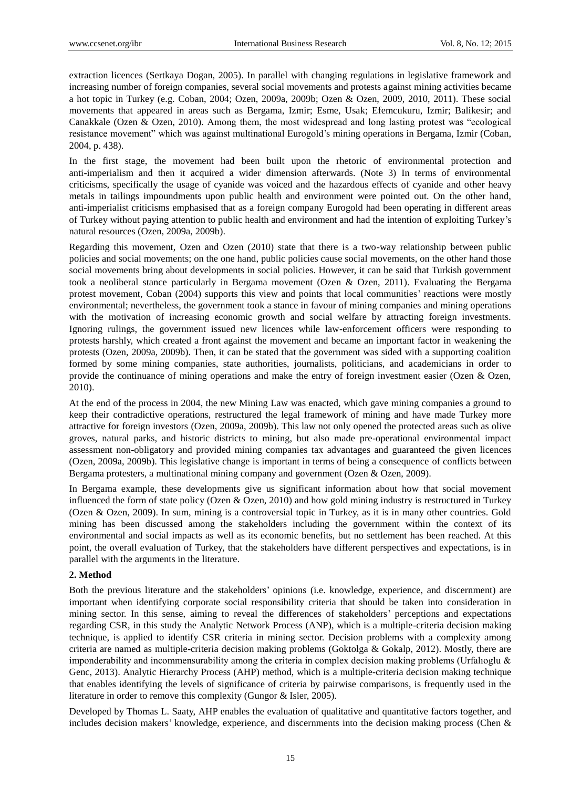extraction licences (Sertkaya Dogan, 2005). In parallel with changing regulations in legislative framework and increasing number of foreign companies, several social movements and protests against mining activities became a hot topic in Turkey (e.g. Coban, 2004; Ozen, 2009a, 2009b; Ozen & Ozen, 2009, 2010, 2011). These social movements that appeared in areas such as Bergama, Izmir; Esme, Usak; Efemcukuru, Izmir; Balikesir; and Canakkale (Ozen & Ozen, 2010). Among them, the most widespread and long lasting protest was "ecological resistance movement" which was against multinational Eurogold"s mining operations in Bergama, Izmir (Coban, 2004, p. 438).

In the first stage, the movement had been built upon the rhetoric of environmental protection and anti-imperialism and then it acquired a wider dimension afterwards. (Note 3) In terms of environmental criticisms, specifically the usage of cyanide was voiced and the hazardous effects of cyanide and other heavy metals in tailings impoundments upon public health and environment were pointed out. On the other hand, anti-imperialist criticisms emphasised that as a foreign company Eurogold had been operating in different areas of Turkey without paying attention to public health and environment and had the intention of exploiting Turkey"s natural resources (Ozen, 2009a, 2009b).

Regarding this movement, Ozen and Ozen (2010) state that there is a two-way relationship between public policies and social movements; on the one hand, public policies cause social movements, on the other hand those social movements bring about developments in social policies. However, it can be said that Turkish government took a neoliberal stance particularly in Bergama movement (Ozen & Ozen, 2011). Evaluating the Bergama protest movement, Coban (2004) supports this view and points that local communities" reactions were mostly environmental; nevertheless, the government took a stance in favour of mining companies and mining operations with the motivation of increasing economic growth and social welfare by attracting foreign investments. Ignoring rulings, the government issued new licences while law-enforcement officers were responding to protests harshly, which created a front against the movement and became an important factor in weakening the protests (Ozen, 2009a, 2009b). Then, it can be stated that the government was sided with a supporting coalition formed by some mining companies, state authorities, journalists, politicians, and academicians in order to provide the continuance of mining operations and make the entry of foreign investment easier (Ozen & Ozen, 2010).

At the end of the process in 2004, the new Mining Law was enacted, which gave mining companies a ground to keep their contradictive operations, restructured the legal framework of mining and have made Turkey more attractive for foreign investors (Ozen, 2009a, 2009b). This law not only opened the protected areas such as olive groves, natural parks, and historic districts to mining, but also made pre-operational environmental impact assessment non-obligatory and provided mining companies tax advantages and guaranteed the given licences (Ozen, 2009a, 2009b). This legislative change is important in terms of being a consequence of conflicts between Bergama protesters, a multinational mining company and government (Ozen & Ozen, 2009).

In Bergama example, these developments give us significant information about how that social movement influenced the form of state policy (Ozen & Ozen, 2010) and how gold mining industry is restructured in Turkey (Ozen & Ozen, 2009). In sum, mining is a controversial topic in Turkey, as it is in many other countries. Gold mining has been discussed among the stakeholders including the government within the context of its environmental and social impacts as well as its economic benefits, but no settlement has been reached. At this point, the overall evaluation of Turkey, that the stakeholders have different perspectives and expectations, is in parallel with the arguments in the literature.

## **2. Method**

Both the previous literature and the stakeholders" opinions (i.e. knowledge, experience, and discernment) are important when identifying corporate social responsibility criteria that should be taken into consideration in mining sector. In this sense, aiming to reveal the differences of stakeholders" perceptions and expectations regarding CSR, in this study the Analytic Network Process (ANP), which is a multiple-criteria decision making technique, is applied to identify CSR criteria in mining sector. Decision problems with a complexity among criteria are named as multiple-criteria decision making problems (Goktolga & Gokalp, 2012). Mostly, there are imponderability and incommensurability among the criteria in complex decision making problems (Urfalıoglu & Genc, 2013). Analytic Hierarchy Process (AHP) method, which is a multiple-criteria decision making technique that enables identifying the levels of significance of criteria by pairwise comparisons, is frequently used in the literature in order to remove this complexity (Gungor & Isler, 2005).

Developed by Thomas L. Saaty, AHP enables the evaluation of qualitative and quantitative factors together, and includes decision makers' knowledge, experience, and discernments into the decision making process (Chen &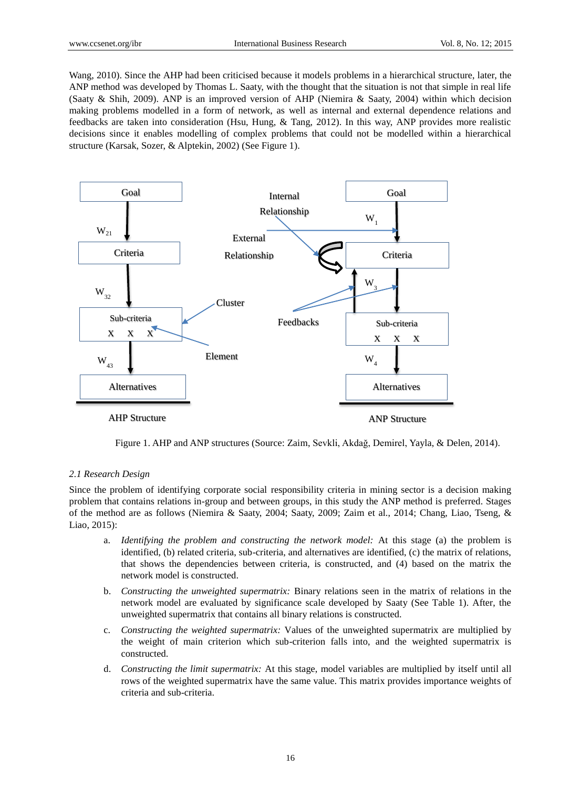Wang, 2010). Since the AHP had been criticised because it models problems in a hierarchical structure, later, the ANP method was developed by Thomas L. Saaty, with the thought that the situation is not that simple in real life (Saaty & Shih, 2009). ANP is an improved version of AHP (Niemira & Saaty, 2004) within which decision making problems modelled in a form of network, as well as internal and external dependence relations and feedbacks are taken into consideration (Hsu, Hung, & Tang, 2012). In this way, ANP provides more realistic decisions since it enables modelling of complex problems that could not be modelled within a hierarchical structure (Karsak, Sozer, & Alptekin, 2002) (See Figure 1).



Figure 1. AHP and ANP structures (Source: Zaim, Sevkli, Akdağ, Demirel, Yayla, & Delen, 2014).

### *2.1 Research Design*

Since the problem of identifying corporate social responsibility criteria in mining sector is a decision making problem that contains relations in-group and between groups, in this study the ANP method is preferred. Stages of the method are as follows (Niemira & Saaty, 2004; Saaty, 2009; Zaim et al., 2014; Chang, Liao, Tseng, & Liao, 2015):

- a. *Identifying the problem and constructing the network model:* At this stage (a) the problem is identified, (b) related criteria, sub-criteria, and alternatives are identified, (c) the matrix of relations, that shows the dependencies between criteria, is constructed, and (4) based on the matrix the network model is constructed.
- b. *Constructing the unweighted supermatrix:* Binary relations seen in the matrix of relations in the network model are evaluated by significance scale developed by Saaty (See Table 1). After, the unweighted supermatrix that contains all binary relations is constructed.
- c. *Constructing the weighted supermatrix:* Values of the unweighted supermatrix are multiplied by the weight of main criterion which sub-criterion falls into, and the weighted supermatrix is constructed.
- d. *Constructing the limit supermatrix:* At this stage, model variables are multiplied by itself until all rows of the weighted supermatrix have the same value. This matrix provides importance weights of criteria and sub-criteria.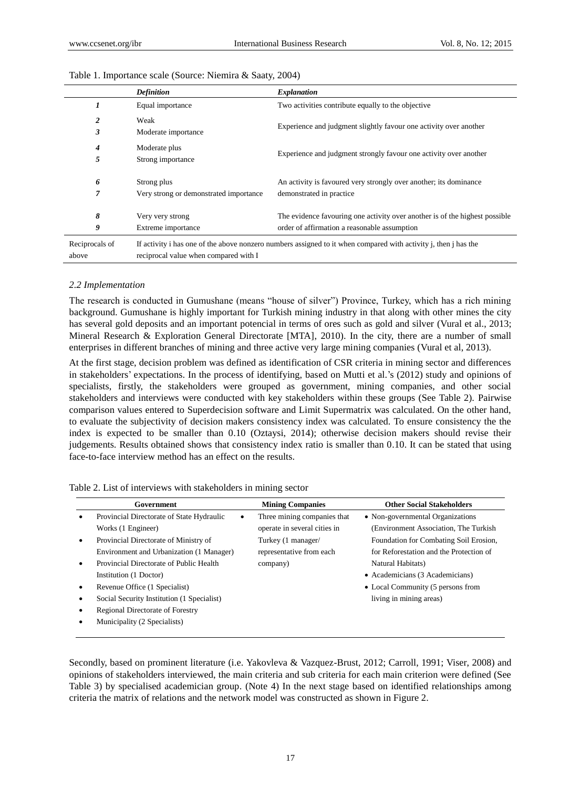|                         | <b>Definition</b>                                                                                                                                        | Explanation                                                                                                                 |
|-------------------------|----------------------------------------------------------------------------------------------------------------------------------------------------------|-----------------------------------------------------------------------------------------------------------------------------|
| 1                       | Equal importance                                                                                                                                         | Two activities contribute equally to the objective                                                                          |
| $\overline{2}$<br>3     | Weak<br>Moderate importance                                                                                                                              | Experience and judgment slightly favour one activity over another                                                           |
| 4<br>5                  | Moderate plus<br>Strong importance                                                                                                                       | Experience and judgment strongly favour one activity over another                                                           |
| 6<br>7                  | Strong plus<br>Very strong or demonstrated importance                                                                                                    | An activity is favoured very strongly over another; its dominance<br>demonstrated in practice                               |
| 8<br>9                  | Very very strong<br>Extreme importance                                                                                                                   | The evidence favouring one activity over another is of the highest possible<br>order of affirmation a reasonable assumption |
| Reciprocals of<br>above | If activity i has one of the above nonzero numbers assigned to it when compared with activity j, then j has the<br>reciprocal value when compared with I |                                                                                                                             |

#### Table 1. Importance scale (Source: Niemira & Saaty, 2004)

## *2.2 Implementation*

The research is conducted in Gumushane (means "house of silver") Province, Turkey, which has a rich mining background. Gumushane is highly important for Turkish mining industry in that along with other mines the city has several gold deposits and an important potencial in terms of ores such as gold and silver (Vural et al., 2013; Mineral Research & Exploration General Directorate [MTA], 2010). In the city, there are a number of small enterprises in different branches of mining and three active very large mining companies (Vural et al, 2013).

At the first stage, decision problem was defined as identification of CSR criteria in mining sector and differences in stakeholders' expectations. In the process of identifying, based on Mutti et al.'s (2012) study and opinions of specialists, firstly, the stakeholders were grouped as government, mining companies, and other social stakeholders and interviews were conducted with key stakeholders within these groups (See Table 2). Pairwise comparison values entered to Superdecision software and Limit Supermatrix was calculated. On the other hand, to evaluate the subjectivity of decision makers consistency index was calculated. To ensure consistency the the index is expected to be smaller than 0.10 (Oztaysi, 2014); otherwise decision makers should revise their judgements. Results obtained shows that consistency index ratio is smaller than 0.10. It can be stated that using face-to-face interview method has an effect on the results.

| Government                                 | <b>Mining Companies</b>      | <b>Other Social Stakeholders</b>        |
|--------------------------------------------|------------------------------|-----------------------------------------|
| Provincial Directorate of State Hydraulic  | Three mining companies that  | • Non-governmental Organizations        |
| Works (1 Engineer)                         | operate in several cities in | (Environment Association, The Turkish)  |
| Provincial Directorate of Ministry of      | Turkey (1 manager/           | Foundation for Combating Soil Erosion,  |
| Environment and Urbanization (1 Manager)   | representative from each     | for Reforestation and the Protection of |
| Provincial Directorate of Public Health    | company)                     | Natural Habitats)                       |
| Institution (1 Doctor)                     |                              | • Academicians (3 Academicians)         |
| Revenue Office (1 Specialist)              |                              | • Local Community (5 persons from       |
| Social Security Institution (1 Specialist) |                              | living in mining areas)                 |
| Regional Directorate of Forestry           |                              |                                         |
| Municipality (2 Specialists)               |                              |                                         |
|                                            |                              |                                         |

Table 2. List of interviews with stakeholders in mining sector

Secondly, based on prominent literature (i.e. Yakovleva & Vazquez-Brust, 2012; Carroll, 1991; Viser, 2008) and opinions of stakeholders interviewed, the main criteria and sub criteria for each main criterion were defined (See Table 3) by specialised academician group. (Note 4) In the next stage based on identified relationships among criteria the matrix of relations and the network model was constructed as shown in Figure 2.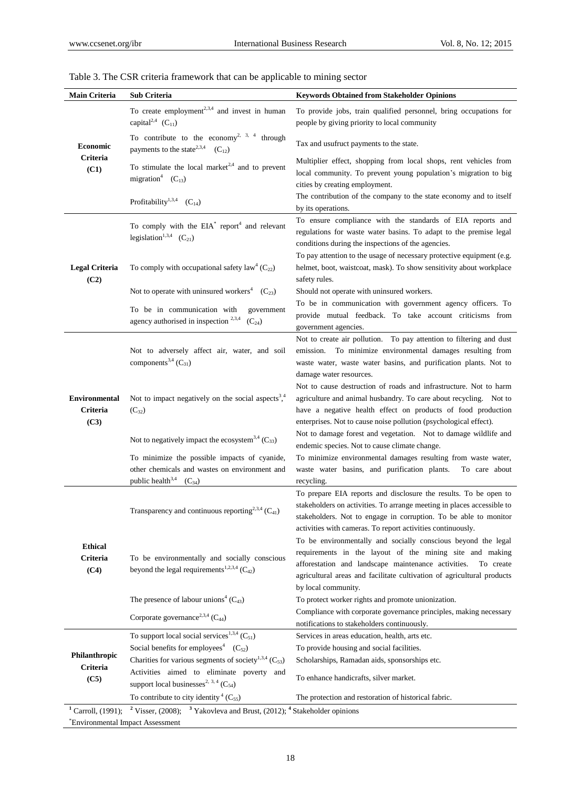| <b>Main Criteria</b>              | Sub Criteria                                                                                                         | <b>Keywords Obtained from Stakeholder Opinions</b>                                                                                                                                    |  |  |  |  |
|-----------------------------------|----------------------------------------------------------------------------------------------------------------------|---------------------------------------------------------------------------------------------------------------------------------------------------------------------------------------|--|--|--|--|
| Economic                          | To create employment <sup>2,3,4</sup> and invest in human<br>capital <sup>2,4</sup> $(C_{11})$                       | To provide jobs, train qualified personnel, bring occupations for<br>people by giving priority to local community                                                                     |  |  |  |  |
|                                   | To contribute to the economy <sup>2, 3, 4</sup> through<br>payments to the state <sup>2,3,4</sup> $(C_{12})$         | Tax and usufruct payments to the state.                                                                                                                                               |  |  |  |  |
| Criteria                          | To stimulate the local market <sup>2,4</sup> and to prevent                                                          | Multiplier effect, shopping from local shops, rent vehicles from                                                                                                                      |  |  |  |  |
| (C1)                              | migration <sup>4</sup> $(C_{13})$                                                                                    | local community. To prevent young population's migration to big                                                                                                                       |  |  |  |  |
|                                   |                                                                                                                      | cities by creating employment.                                                                                                                                                        |  |  |  |  |
|                                   | Profitability <sup>1,3,4</sup><br>$(C_{14})$                                                                         | The contribution of the company to the state economy and to itself<br>by its operations.                                                                                              |  |  |  |  |
| <b>Legal Criteria</b><br>(C2)     | To comply with the EIA <sup>*</sup> report <sup>4</sup> and relevant<br>legislation <sup>1,3,4</sup> $(C_{21})$      | To ensure compliance with the standards of EIA reports and<br>regulations for waste water basins. To adapt to the premise legal<br>conditions during the inspections of the agencies. |  |  |  |  |
|                                   | To comply with occupational safety law <sup>4</sup> ( $C_{22}$ )                                                     | To pay attention to the usage of necessary protective equipment (e.g.<br>helmet, boot, waistcoat, mask). To show sensitivity about workplace<br>safety rules.                         |  |  |  |  |
|                                   | Not to operate with uninsured workers <sup>4</sup> $(C_{23})$                                                        | Should not operate with uninsured workers.                                                                                                                                            |  |  |  |  |
|                                   |                                                                                                                      | To be in communication with government agency officers. To                                                                                                                            |  |  |  |  |
|                                   | To be in communication with<br>government<br>agency authorised in inspection <sup>2,3,4</sup><br>$(C_{24})$          | provide mutual feedback. To take account criticisms from<br>government agencies.                                                                                                      |  |  |  |  |
|                                   |                                                                                                                      | Not to create air pollution. To pay attention to filtering and dust                                                                                                                   |  |  |  |  |
|                                   | Not to adversely affect air, water, and soil<br>components <sup>3,4</sup> $(C_{31})$                                 | emission. To minimize environmental damages resulting from<br>waste water, waste water basins, and purification plants. Not to                                                        |  |  |  |  |
|                                   |                                                                                                                      | damage water resources.                                                                                                                                                               |  |  |  |  |
|                                   |                                                                                                                      | Not to cause destruction of roads and infrastructure. Not to harm                                                                                                                     |  |  |  |  |
| <b>Environmental</b>              | Not to impact negatively on the social aspects <sup>3,4</sup>                                                        | agriculture and animal husbandry. To care about recycling. Not to                                                                                                                     |  |  |  |  |
| Criteria<br>(C3)                  | $(C_{32})$                                                                                                           | have a negative health effect on products of food production                                                                                                                          |  |  |  |  |
|                                   |                                                                                                                      | enterprises. Not to cause noise pollution (psychological effect).                                                                                                                     |  |  |  |  |
|                                   | Not to negatively impact the ecosystem <sup>3,4</sup> ( $C_{33}$ )                                                   | Not to damage forest and vegetation. Not to damage wildlife and                                                                                                                       |  |  |  |  |
|                                   |                                                                                                                      | endemic species. Not to cause climate change.                                                                                                                                         |  |  |  |  |
|                                   | To minimize the possible impacts of cyanide,<br>other chemicals and wastes on environment and                        | To minimize environmental damages resulting from waste water,<br>waste water basins, and purification plants.                                                                         |  |  |  |  |
|                                   | public health <sup>3,4</sup> $(C_{34})$                                                                              | To care about<br>recycling.                                                                                                                                                           |  |  |  |  |
|                                   |                                                                                                                      | To prepare EIA reports and disclosure the results. To be open to                                                                                                                      |  |  |  |  |
|                                   | Transparency and continuous reporting <sup>2,3,4</sup> (C <sub>41</sub> )                                            | stakeholders on activities. To arrange meeting in places accessible to                                                                                                                |  |  |  |  |
|                                   |                                                                                                                      | stakeholders. Not to engage in corruption. To be able to monitor                                                                                                                      |  |  |  |  |
| <b>Ethical</b>                    |                                                                                                                      | activities with cameras. To report activities continuously.                                                                                                                           |  |  |  |  |
|                                   |                                                                                                                      | To be environmentally and socially conscious beyond the legal                                                                                                                         |  |  |  |  |
| Criteria                          | To be environmentally and socially conscious                                                                         | requirements in the layout of the mining site and making                                                                                                                              |  |  |  |  |
| (C4)                              | beyond the legal requirements <sup>1,2,3,4</sup> $(C_{42})$                                                          | afforestation and landscape maintenance activities.<br>To create<br>agricultural areas and facilitate cultivation of agricultural products                                            |  |  |  |  |
|                                   |                                                                                                                      | by local community.                                                                                                                                                                   |  |  |  |  |
|                                   | The presence of labour unions <sup>4</sup> ( $C_{43}$ )                                                              | To protect worker rights and promote unionization.                                                                                                                                    |  |  |  |  |
|                                   |                                                                                                                      | Compliance with corporate governance principles, making necessary                                                                                                                     |  |  |  |  |
|                                   | Corporate governance <sup>2,3,4</sup> (C <sub>44</sub> )                                                             | notifications to stakeholders continuously.                                                                                                                                           |  |  |  |  |
| Philanthropic<br>Criteria<br>(C5) | To support local social services <sup>1,3,4</sup> $(C_{51})$                                                         | Services in areas education, health, arts etc.                                                                                                                                        |  |  |  |  |
|                                   | Social benefits for employees <sup>4</sup> $(C_{52})$                                                                | To provide housing and social facilities.                                                                                                                                             |  |  |  |  |
|                                   | Charities for various segments of society <sup>1,3,4</sup> (C <sub>53</sub> )                                        | Scholarships, Ramadan aids, sponsorships etc.                                                                                                                                         |  |  |  |  |
|                                   | Activities aimed to eliminate poverty and                                                                            | To enhance handicrafts, silver market.                                                                                                                                                |  |  |  |  |
|                                   | support local businesses <sup>2, 3, 4</sup> ( $C_{54}$ )<br>To contribute to city identity ${}^4$ (C <sub>55</sub> ) |                                                                                                                                                                                       |  |  |  |  |
| $1$ Carroll, (1991);              | <sup>2</sup> Visser, (2008); <sup>3</sup> Yakovleva and Brust, (2012); <sup>4</sup> Stakeholder opinions             | The protection and restoration of historical fabric.                                                                                                                                  |  |  |  |  |
| Environmental Impact Assessment   |                                                                                                                      |                                                                                                                                                                                       |  |  |  |  |

| Table 3. The CSR criteria framework that can be applicable to mining sector |  |  |  |  |  |  |  |  |
|-----------------------------------------------------------------------------|--|--|--|--|--|--|--|--|
|-----------------------------------------------------------------------------|--|--|--|--|--|--|--|--|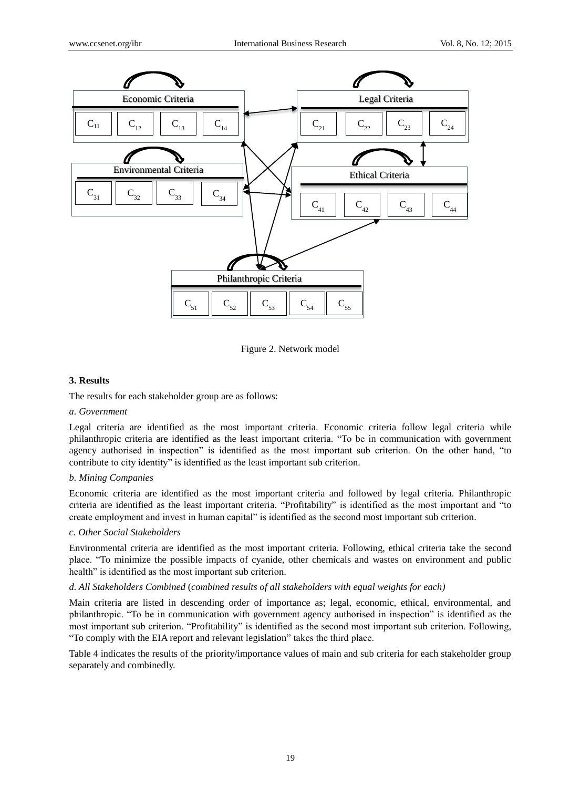

Figure 2. Network model

# **3. Results**

The results for each stakeholder group are as follows:

## *a. Government*

Legal criteria are identified as the most important criteria*.* Economic criteria follow legal criteria while philanthropic criteria are identified as the least important criteria. "To be in communication with government agency authorised in inspection" is identified as the most important sub criterion. On the other hand, "to contribute to city identity" is identified as the least important sub criterion.

## *b. Mining Companies*

Economic criteria are identified as the most important criteria and followed by legal criteria. Philanthropic criteria are identified as the least important criteria. "Profitability" is identified as the most important and "to create employment and invest in human capital" is identified as the second most important sub criterion.

## *c. Other Social Stakeholders*

Environmental criteria are identified as the most important criteria. Following, ethical criteria take the second place. "To minimize the possible impacts of cyanide, other chemicals and wastes on environment and public health" is identified as the most important sub criterion.

# *d. All Stakeholders Combined* (*combined results of all stakeholders with equal weights for each)*

Main criteria are listed in descending order of importance as; legal, economic, ethical, environmental, and philanthropic. "To be in communication with government agency authorised in inspection" is identified as the most important sub criterion. "Profitability" is identified as the second most important sub criterion. Following, "To comply with the EIA report and relevant legislation" takes the third place.

Table 4 indicates the results of the priority/importance values of main and sub criteria for each stakeholder group separately and combinedly.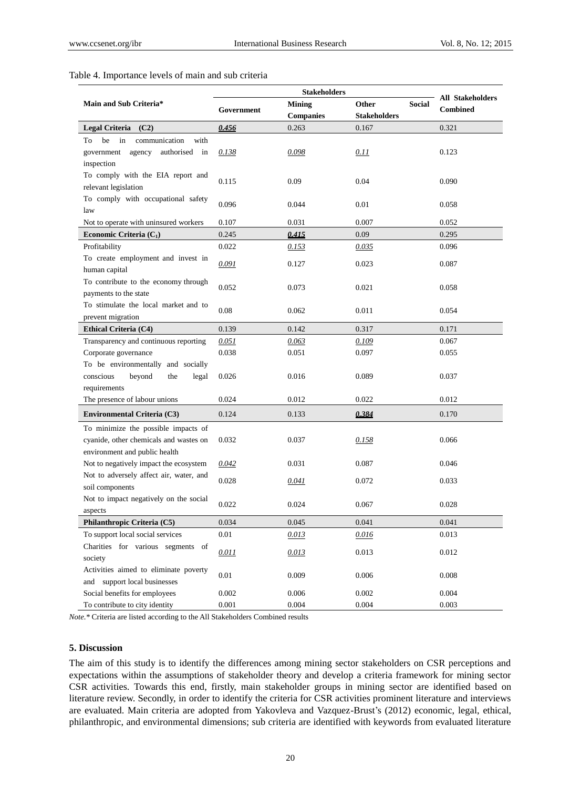#### Table 4. Importance levels of main and sub criteria

| <b>All Stakeholders</b><br>Main and Sub Criteria*<br><b>Mining</b><br>Other<br>Social<br><b>Combined</b><br>Government<br><b>Companies</b><br><b>Stakeholders</b><br>0.321<br><b>Legal Criteria</b><br>(C2)<br>0.456<br>0.263<br>0.167<br>To<br>be<br>in<br>communication<br>with<br>0.123<br>government<br>agency<br>authorised in<br>0.138<br>0.098<br>0.11<br>inspection<br>To comply with the EIA report and<br>0.115<br>0.09<br>0.04<br>0.090<br>relevant legislation<br>To comply with occupational safety<br>0.096<br>0.044<br>0.01<br>0.058<br>law<br>0.107<br>Not to operate with uninsured workers<br>0.031<br>0.007<br>0.052<br>Economic Criteria $(C_1)$<br>0.245<br>0.415<br>0.09<br>0.295<br>Profitability<br>0.022<br>0.035<br>0.096<br>0.153<br>To create employment and invest in<br>0.091<br>0.127<br>0.023<br>0.087<br>human capital<br>To contribute to the economy through<br>0.052<br>0.073<br>0.021<br>0.058<br>payments to the state<br>To stimulate the local market and to<br>0.08<br>0.062<br>0.011<br>0.054<br>prevent migration<br>0.139<br>0.317<br><b>Ethical Criteria (C4)</b><br>0.142<br>0.171<br>Transparency and continuous reporting<br>0.067<br>0.051<br>0.063<br>0.109<br>Corporate governance<br>0.038<br>0.055<br>0.051<br>0.097<br>To be environmentally and socially<br>conscious<br>beyond<br>0.026<br>0.016<br>0.089<br>0.037<br>the<br>legal<br>requirements<br>The presence of labour unions<br>0.024<br>0.012<br>0.022<br>0.012<br>0.384<br><b>Environmental Criteria (C3)</b><br>0.124<br>0.133<br>0.170<br>To minimize the possible impacts of<br>0.032<br>cyanide, other chemicals and wastes on<br>0.037<br>0.158<br>0.066<br>environment and public health<br>Not to negatively impact the ecosystem<br>0.042<br>0.031<br>0.087<br>0.046<br>Not to adversely affect air, water, and<br>0.028<br>0.072<br>0.033<br>0.041<br>soil components<br>Not to impact negatively on the social<br>0.022<br>0.024<br>0.067<br>0.028<br>aspects<br>0.034<br>Philanthropic Criteria (C5)<br>0.045<br>0.041<br>0.041<br>To support local social services<br>0.01<br>0.013<br>0.013<br>0.016<br>Charities for various segments of<br>0.013<br>0.012<br>0.011<br>0.013<br>society<br>Activities aimed to eliminate poverty<br>0.006<br>0.008<br>0.01<br>0.009<br>and support local businesses<br>0.002<br>0.006<br>0.002<br>0.004<br>Social benefits for employees | <b>Stakeholders</b> |  |  |  |  |
|---------------------------------------------------------------------------------------------------------------------------------------------------------------------------------------------------------------------------------------------------------------------------------------------------------------------------------------------------------------------------------------------------------------------------------------------------------------------------------------------------------------------------------------------------------------------------------------------------------------------------------------------------------------------------------------------------------------------------------------------------------------------------------------------------------------------------------------------------------------------------------------------------------------------------------------------------------------------------------------------------------------------------------------------------------------------------------------------------------------------------------------------------------------------------------------------------------------------------------------------------------------------------------------------------------------------------------------------------------------------------------------------------------------------------------------------------------------------------------------------------------------------------------------------------------------------------------------------------------------------------------------------------------------------------------------------------------------------------------------------------------------------------------------------------------------------------------------------------------------------------------------------------------------------------------------------------------------------------------------------------------------------------------------------------------------------------------------------------------------------------------------------------------------------------------------------------------------------------------------------------------------------------------------------------------------------------------------------------------------------------------------------------------|---------------------|--|--|--|--|
|                                                                                                                                                                                                                                                                                                                                                                                                                                                                                                                                                                                                                                                                                                                                                                                                                                                                                                                                                                                                                                                                                                                                                                                                                                                                                                                                                                                                                                                                                                                                                                                                                                                                                                                                                                                                                                                                                                                                                                                                                                                                                                                                                                                                                                                                                                                                                                                                         |                     |  |  |  |  |
|                                                                                                                                                                                                                                                                                                                                                                                                                                                                                                                                                                                                                                                                                                                                                                                                                                                                                                                                                                                                                                                                                                                                                                                                                                                                                                                                                                                                                                                                                                                                                                                                                                                                                                                                                                                                                                                                                                                                                                                                                                                                                                                                                                                                                                                                                                                                                                                                         |                     |  |  |  |  |
|                                                                                                                                                                                                                                                                                                                                                                                                                                                                                                                                                                                                                                                                                                                                                                                                                                                                                                                                                                                                                                                                                                                                                                                                                                                                                                                                                                                                                                                                                                                                                                                                                                                                                                                                                                                                                                                                                                                                                                                                                                                                                                                                                                                                                                                                                                                                                                                                         |                     |  |  |  |  |
|                                                                                                                                                                                                                                                                                                                                                                                                                                                                                                                                                                                                                                                                                                                                                                                                                                                                                                                                                                                                                                                                                                                                                                                                                                                                                                                                                                                                                                                                                                                                                                                                                                                                                                                                                                                                                                                                                                                                                                                                                                                                                                                                                                                                                                                                                                                                                                                                         |                     |  |  |  |  |
|                                                                                                                                                                                                                                                                                                                                                                                                                                                                                                                                                                                                                                                                                                                                                                                                                                                                                                                                                                                                                                                                                                                                                                                                                                                                                                                                                                                                                                                                                                                                                                                                                                                                                                                                                                                                                                                                                                                                                                                                                                                                                                                                                                                                                                                                                                                                                                                                         |                     |  |  |  |  |
|                                                                                                                                                                                                                                                                                                                                                                                                                                                                                                                                                                                                                                                                                                                                                                                                                                                                                                                                                                                                                                                                                                                                                                                                                                                                                                                                                                                                                                                                                                                                                                                                                                                                                                                                                                                                                                                                                                                                                                                                                                                                                                                                                                                                                                                                                                                                                                                                         |                     |  |  |  |  |
|                                                                                                                                                                                                                                                                                                                                                                                                                                                                                                                                                                                                                                                                                                                                                                                                                                                                                                                                                                                                                                                                                                                                                                                                                                                                                                                                                                                                                                                                                                                                                                                                                                                                                                                                                                                                                                                                                                                                                                                                                                                                                                                                                                                                                                                                                                                                                                                                         |                     |  |  |  |  |
|                                                                                                                                                                                                                                                                                                                                                                                                                                                                                                                                                                                                                                                                                                                                                                                                                                                                                                                                                                                                                                                                                                                                                                                                                                                                                                                                                                                                                                                                                                                                                                                                                                                                                                                                                                                                                                                                                                                                                                                                                                                                                                                                                                                                                                                                                                                                                                                                         |                     |  |  |  |  |
|                                                                                                                                                                                                                                                                                                                                                                                                                                                                                                                                                                                                                                                                                                                                                                                                                                                                                                                                                                                                                                                                                                                                                                                                                                                                                                                                                                                                                                                                                                                                                                                                                                                                                                                                                                                                                                                                                                                                                                                                                                                                                                                                                                                                                                                                                                                                                                                                         |                     |  |  |  |  |
|                                                                                                                                                                                                                                                                                                                                                                                                                                                                                                                                                                                                                                                                                                                                                                                                                                                                                                                                                                                                                                                                                                                                                                                                                                                                                                                                                                                                                                                                                                                                                                                                                                                                                                                                                                                                                                                                                                                                                                                                                                                                                                                                                                                                                                                                                                                                                                                                         |                     |  |  |  |  |
|                                                                                                                                                                                                                                                                                                                                                                                                                                                                                                                                                                                                                                                                                                                                                                                                                                                                                                                                                                                                                                                                                                                                                                                                                                                                                                                                                                                                                                                                                                                                                                                                                                                                                                                                                                                                                                                                                                                                                                                                                                                                                                                                                                                                                                                                                                                                                                                                         |                     |  |  |  |  |
|                                                                                                                                                                                                                                                                                                                                                                                                                                                                                                                                                                                                                                                                                                                                                                                                                                                                                                                                                                                                                                                                                                                                                                                                                                                                                                                                                                                                                                                                                                                                                                                                                                                                                                                                                                                                                                                                                                                                                                                                                                                                                                                                                                                                                                                                                                                                                                                                         |                     |  |  |  |  |
|                                                                                                                                                                                                                                                                                                                                                                                                                                                                                                                                                                                                                                                                                                                                                                                                                                                                                                                                                                                                                                                                                                                                                                                                                                                                                                                                                                                                                                                                                                                                                                                                                                                                                                                                                                                                                                                                                                                                                                                                                                                                                                                                                                                                                                                                                                                                                                                                         |                     |  |  |  |  |
|                                                                                                                                                                                                                                                                                                                                                                                                                                                                                                                                                                                                                                                                                                                                                                                                                                                                                                                                                                                                                                                                                                                                                                                                                                                                                                                                                                                                                                                                                                                                                                                                                                                                                                                                                                                                                                                                                                                                                                                                                                                                                                                                                                                                                                                                                                                                                                                                         |                     |  |  |  |  |
|                                                                                                                                                                                                                                                                                                                                                                                                                                                                                                                                                                                                                                                                                                                                                                                                                                                                                                                                                                                                                                                                                                                                                                                                                                                                                                                                                                                                                                                                                                                                                                                                                                                                                                                                                                                                                                                                                                                                                                                                                                                                                                                                                                                                                                                                                                                                                                                                         |                     |  |  |  |  |
|                                                                                                                                                                                                                                                                                                                                                                                                                                                                                                                                                                                                                                                                                                                                                                                                                                                                                                                                                                                                                                                                                                                                                                                                                                                                                                                                                                                                                                                                                                                                                                                                                                                                                                                                                                                                                                                                                                                                                                                                                                                                                                                                                                                                                                                                                                                                                                                                         |                     |  |  |  |  |
|                                                                                                                                                                                                                                                                                                                                                                                                                                                                                                                                                                                                                                                                                                                                                                                                                                                                                                                                                                                                                                                                                                                                                                                                                                                                                                                                                                                                                                                                                                                                                                                                                                                                                                                                                                                                                                                                                                                                                                                                                                                                                                                                                                                                                                                                                                                                                                                                         |                     |  |  |  |  |
|                                                                                                                                                                                                                                                                                                                                                                                                                                                                                                                                                                                                                                                                                                                                                                                                                                                                                                                                                                                                                                                                                                                                                                                                                                                                                                                                                                                                                                                                                                                                                                                                                                                                                                                                                                                                                                                                                                                                                                                                                                                                                                                                                                                                                                                                                                                                                                                                         |                     |  |  |  |  |
|                                                                                                                                                                                                                                                                                                                                                                                                                                                                                                                                                                                                                                                                                                                                                                                                                                                                                                                                                                                                                                                                                                                                                                                                                                                                                                                                                                                                                                                                                                                                                                                                                                                                                                                                                                                                                                                                                                                                                                                                                                                                                                                                                                                                                                                                                                                                                                                                         |                     |  |  |  |  |
|                                                                                                                                                                                                                                                                                                                                                                                                                                                                                                                                                                                                                                                                                                                                                                                                                                                                                                                                                                                                                                                                                                                                                                                                                                                                                                                                                                                                                                                                                                                                                                                                                                                                                                                                                                                                                                                                                                                                                                                                                                                                                                                                                                                                                                                                                                                                                                                                         |                     |  |  |  |  |
|                                                                                                                                                                                                                                                                                                                                                                                                                                                                                                                                                                                                                                                                                                                                                                                                                                                                                                                                                                                                                                                                                                                                                                                                                                                                                                                                                                                                                                                                                                                                                                                                                                                                                                                                                                                                                                                                                                                                                                                                                                                                                                                                                                                                                                                                                                                                                                                                         |                     |  |  |  |  |
|                                                                                                                                                                                                                                                                                                                                                                                                                                                                                                                                                                                                                                                                                                                                                                                                                                                                                                                                                                                                                                                                                                                                                                                                                                                                                                                                                                                                                                                                                                                                                                                                                                                                                                                                                                                                                                                                                                                                                                                                                                                                                                                                                                                                                                                                                                                                                                                                         |                     |  |  |  |  |
|                                                                                                                                                                                                                                                                                                                                                                                                                                                                                                                                                                                                                                                                                                                                                                                                                                                                                                                                                                                                                                                                                                                                                                                                                                                                                                                                                                                                                                                                                                                                                                                                                                                                                                                                                                                                                                                                                                                                                                                                                                                                                                                                                                                                                                                                                                                                                                                                         |                     |  |  |  |  |
|                                                                                                                                                                                                                                                                                                                                                                                                                                                                                                                                                                                                                                                                                                                                                                                                                                                                                                                                                                                                                                                                                                                                                                                                                                                                                                                                                                                                                                                                                                                                                                                                                                                                                                                                                                                                                                                                                                                                                                                                                                                                                                                                                                                                                                                                                                                                                                                                         |                     |  |  |  |  |
|                                                                                                                                                                                                                                                                                                                                                                                                                                                                                                                                                                                                                                                                                                                                                                                                                                                                                                                                                                                                                                                                                                                                                                                                                                                                                                                                                                                                                                                                                                                                                                                                                                                                                                                                                                                                                                                                                                                                                                                                                                                                                                                                                                                                                                                                                                                                                                                                         |                     |  |  |  |  |
|                                                                                                                                                                                                                                                                                                                                                                                                                                                                                                                                                                                                                                                                                                                                                                                                                                                                                                                                                                                                                                                                                                                                                                                                                                                                                                                                                                                                                                                                                                                                                                                                                                                                                                                                                                                                                                                                                                                                                                                                                                                                                                                                                                                                                                                                                                                                                                                                         |                     |  |  |  |  |
|                                                                                                                                                                                                                                                                                                                                                                                                                                                                                                                                                                                                                                                                                                                                                                                                                                                                                                                                                                                                                                                                                                                                                                                                                                                                                                                                                                                                                                                                                                                                                                                                                                                                                                                                                                                                                                                                                                                                                                                                                                                                                                                                                                                                                                                                                                                                                                                                         |                     |  |  |  |  |
|                                                                                                                                                                                                                                                                                                                                                                                                                                                                                                                                                                                                                                                                                                                                                                                                                                                                                                                                                                                                                                                                                                                                                                                                                                                                                                                                                                                                                                                                                                                                                                                                                                                                                                                                                                                                                                                                                                                                                                                                                                                                                                                                                                                                                                                                                                                                                                                                         |                     |  |  |  |  |
|                                                                                                                                                                                                                                                                                                                                                                                                                                                                                                                                                                                                                                                                                                                                                                                                                                                                                                                                                                                                                                                                                                                                                                                                                                                                                                                                                                                                                                                                                                                                                                                                                                                                                                                                                                                                                                                                                                                                                                                                                                                                                                                                                                                                                                                                                                                                                                                                         |                     |  |  |  |  |
|                                                                                                                                                                                                                                                                                                                                                                                                                                                                                                                                                                                                                                                                                                                                                                                                                                                                                                                                                                                                                                                                                                                                                                                                                                                                                                                                                                                                                                                                                                                                                                                                                                                                                                                                                                                                                                                                                                                                                                                                                                                                                                                                                                                                                                                                                                                                                                                                         |                     |  |  |  |  |
|                                                                                                                                                                                                                                                                                                                                                                                                                                                                                                                                                                                                                                                                                                                                                                                                                                                                                                                                                                                                                                                                                                                                                                                                                                                                                                                                                                                                                                                                                                                                                                                                                                                                                                                                                                                                                                                                                                                                                                                                                                                                                                                                                                                                                                                                                                                                                                                                         |                     |  |  |  |  |
|                                                                                                                                                                                                                                                                                                                                                                                                                                                                                                                                                                                                                                                                                                                                                                                                                                                                                                                                                                                                                                                                                                                                                                                                                                                                                                                                                                                                                                                                                                                                                                                                                                                                                                                                                                                                                                                                                                                                                                                                                                                                                                                                                                                                                                                                                                                                                                                                         |                     |  |  |  |  |
|                                                                                                                                                                                                                                                                                                                                                                                                                                                                                                                                                                                                                                                                                                                                                                                                                                                                                                                                                                                                                                                                                                                                                                                                                                                                                                                                                                                                                                                                                                                                                                                                                                                                                                                                                                                                                                                                                                                                                                                                                                                                                                                                                                                                                                                                                                                                                                                                         |                     |  |  |  |  |
|                                                                                                                                                                                                                                                                                                                                                                                                                                                                                                                                                                                                                                                                                                                                                                                                                                                                                                                                                                                                                                                                                                                                                                                                                                                                                                                                                                                                                                                                                                                                                                                                                                                                                                                                                                                                                                                                                                                                                                                                                                                                                                                                                                                                                                                                                                                                                                                                         |                     |  |  |  |  |
|                                                                                                                                                                                                                                                                                                                                                                                                                                                                                                                                                                                                                                                                                                                                                                                                                                                                                                                                                                                                                                                                                                                                                                                                                                                                                                                                                                                                                                                                                                                                                                                                                                                                                                                                                                                                                                                                                                                                                                                                                                                                                                                                                                                                                                                                                                                                                                                                         |                     |  |  |  |  |
|                                                                                                                                                                                                                                                                                                                                                                                                                                                                                                                                                                                                                                                                                                                                                                                                                                                                                                                                                                                                                                                                                                                                                                                                                                                                                                                                                                                                                                                                                                                                                                                                                                                                                                                                                                                                                                                                                                                                                                                                                                                                                                                                                                                                                                                                                                                                                                                                         |                     |  |  |  |  |
|                                                                                                                                                                                                                                                                                                                                                                                                                                                                                                                                                                                                                                                                                                                                                                                                                                                                                                                                                                                                                                                                                                                                                                                                                                                                                                                                                                                                                                                                                                                                                                                                                                                                                                                                                                                                                                                                                                                                                                                                                                                                                                                                                                                                                                                                                                                                                                                                         |                     |  |  |  |  |
|                                                                                                                                                                                                                                                                                                                                                                                                                                                                                                                                                                                                                                                                                                                                                                                                                                                                                                                                                                                                                                                                                                                                                                                                                                                                                                                                                                                                                                                                                                                                                                                                                                                                                                                                                                                                                                                                                                                                                                                                                                                                                                                                                                                                                                                                                                                                                                                                         |                     |  |  |  |  |
|                                                                                                                                                                                                                                                                                                                                                                                                                                                                                                                                                                                                                                                                                                                                                                                                                                                                                                                                                                                                                                                                                                                                                                                                                                                                                                                                                                                                                                                                                                                                                                                                                                                                                                                                                                                                                                                                                                                                                                                                                                                                                                                                                                                                                                                                                                                                                                                                         |                     |  |  |  |  |
|                                                                                                                                                                                                                                                                                                                                                                                                                                                                                                                                                                                                                                                                                                                                                                                                                                                                                                                                                                                                                                                                                                                                                                                                                                                                                                                                                                                                                                                                                                                                                                                                                                                                                                                                                                                                                                                                                                                                                                                                                                                                                                                                                                                                                                                                                                                                                                                                         |                     |  |  |  |  |
|                                                                                                                                                                                                                                                                                                                                                                                                                                                                                                                                                                                                                                                                                                                                                                                                                                                                                                                                                                                                                                                                                                                                                                                                                                                                                                                                                                                                                                                                                                                                                                                                                                                                                                                                                                                                                                                                                                                                                                                                                                                                                                                                                                                                                                                                                                                                                                                                         |                     |  |  |  |  |
| To contribute to city identity<br>0.001<br>0.004<br>0.004<br>0.003                                                                                                                                                                                                                                                                                                                                                                                                                                                                                                                                                                                                                                                                                                                                                                                                                                                                                                                                                                                                                                                                                                                                                                                                                                                                                                                                                                                                                                                                                                                                                                                                                                                                                                                                                                                                                                                                                                                                                                                                                                                                                                                                                                                                                                                                                                                                      |                     |  |  |  |  |

*Note.\** Criteria are listed according to the All Stakeholders Combined results

## **5. Discussion**

The aim of this study is to identify the differences among mining sector stakeholders on CSR perceptions and expectations within the assumptions of stakeholder theory and develop a criteria framework for mining sector CSR activities. Towards this end, firstly, main stakeholder groups in mining sector are identified based on literature review. Secondly, in order to identify the criteria for CSR activities prominent literature and interviews are evaluated. Main criteria are adopted from Yakovleva and Vazquez-Brust's (2012) economic, legal, ethical, philanthropic, and environmental dimensions; sub criteria are identified with keywords from evaluated literature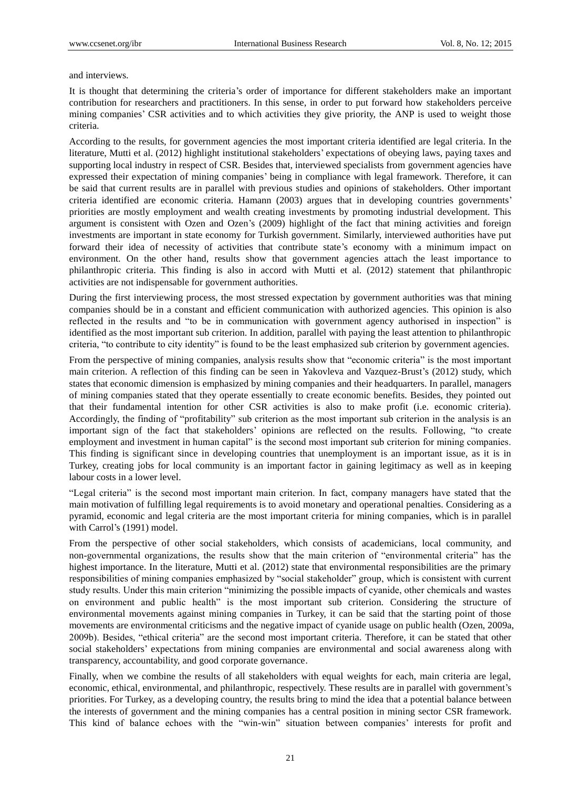## and interviews.

It is thought that determining the criteria"s order of importance for different stakeholders make an important contribution for researchers and practitioners. In this sense, in order to put forward how stakeholders perceive mining companies" CSR activities and to which activities they give priority, the ANP is used to weight those criteria.

According to the results, for government agencies the most important criteria identified are legal criteria. In the literature, Mutti et al. (2012) highlight institutional stakeholders" expectations of obeying laws, paying taxes and supporting local industry in respect of CSR. Besides that, interviewed specialists from government agencies have expressed their expectation of mining companies" being in compliance with legal framework. Therefore, it can be said that current results are in parallel with previous studies and opinions of stakeholders. Other important criteria identified are economic criteria. Hamann (2003) argues that in developing countries governments" priorities are mostly employment and wealth creating investments by promoting industrial development. This argument is consistent with Ozen and Ozen"s (2009) highlight of the fact that mining activities and foreign investments are important in state economy for Turkish government. Similarly, interviewed authorities have put forward their idea of necessity of activities that contribute state"s economy with a minimum impact on environment. On the other hand, results show that government agencies attach the least importance to philanthropic criteria. This finding is also in accord with Mutti et al. (2012) statement that philanthropic activities are not indispensable for government authorities.

During the first interviewing process, the most stressed expectation by government authorities was that mining companies should be in a constant and efficient communication with authorized agencies. This opinion is also reflected in the results and "to be in communication with government agency authorised in inspection" is identified as the most important sub criterion. In addition, parallel with paying the least attention to philanthropic criteria, "to contribute to city identity" is found to be the least emphasized sub criterion by government agencies.

From the perspective of mining companies, analysis results show that "economic criteria" is the most important main criterion. A reflection of this finding can be seen in Yakovleva and Vazquez-Brust"s (2012) study, which states that economic dimension is emphasized by mining companies and their headquarters. In parallel, managers of mining companies stated that they operate essentially to create economic benefits. Besides, they pointed out that their fundamental intention for other CSR activities is also to make profit (i.e. economic criteria). Accordingly, the finding of "profitability" sub criterion as the most important sub criterion in the analysis is an important sign of the fact that stakeholders" opinions are reflected on the results. Following, "to create employment and investment in human capital" is the second most important sub criterion for mining companies. This finding is significant since in developing countries that unemployment is an important issue, as it is in Turkey, creating jobs for local community is an important factor in gaining legitimacy as well as in keeping labour costs in a lower level.

"Legal criteria" is the second most important main criterion. In fact, company managers have stated that the main motivation of fulfilling legal requirements is to avoid monetary and operational penalties. Considering as a pyramid, economic and legal criteria are the most important criteria for mining companies, which is in parallel with Carrol's (1991) model.

From the perspective of other social stakeholders, which consists of academicians, local community, and non-governmental organizations, the results show that the main criterion of "environmental criteria" has the highest importance. In the literature, Mutti et al. (2012) state that environmental responsibilities are the primary responsibilities of mining companies emphasized by "social stakeholder" group, which is consistent with current study results. Under this main criterion "minimizing the possible impacts of cyanide, other chemicals and wastes on environment and public health" is the most important sub criterion. Considering the structure of environmental movements against mining companies in Turkey, it can be said that the starting point of those movements are environmental criticisms and the negative impact of cyanide usage on public health (Ozen, 2009a, 2009b). Besides, "ethical criteria" are the second most important criteria. Therefore, it can be stated that other social stakeholders" expectations from mining companies are environmental and social awareness along with transparency, accountability, and good corporate governance.

Finally, when we combine the results of all stakeholders with equal weights for each, main criteria are legal, economic, ethical, environmental, and philanthropic, respectively. These results are in parallel with government"s priorities. For Turkey, as a developing country, the results bring to mind the idea that a potential balance between the interests of government and the mining companies has a central position in mining sector CSR framework. This kind of balance echoes with the "win-win" situation between companies' interests for profit and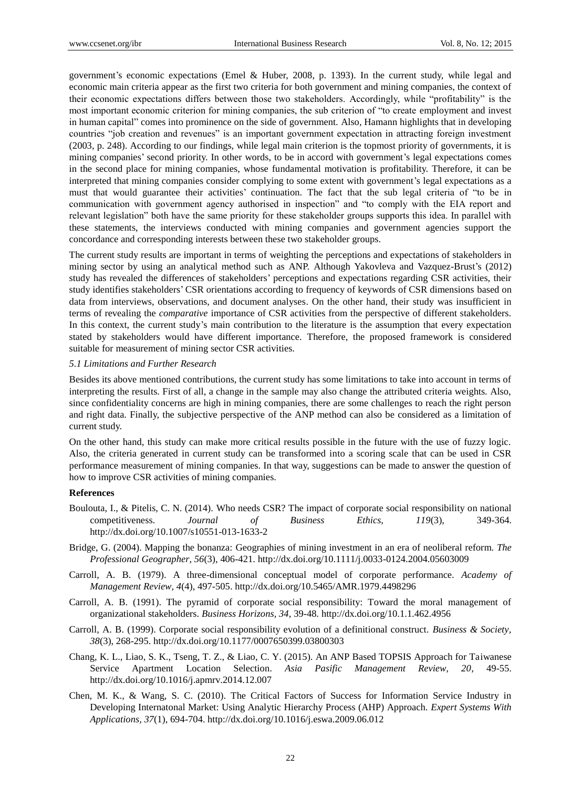government's economic expectations (Emel & Huber, 2008, p. 1393). In the current study, while legal and economic main criteria appear as the first two criteria for both government and mining companies, the context of their economic expectations differs between those two stakeholders. Accordingly, while "profitability" is the most important economic criterion for mining companies, the sub criterion of "to create employment and invest in human capital" comes into prominence on the side of government. Also, Hamann highlights that in developing countries "job creation and revenues" is an important government expectation in attracting foreign investment (2003, p. 248). According to our findings, while legal main criterion is the topmost priority of governments, it is mining companies" second priority. In other words, to be in accord with government"s legal expectations comes in the second place for mining companies, whose fundamental motivation is profitability. Therefore, it can be interpreted that mining companies consider complying to some extent with government"s legal expectations as a must that would guarantee their activities" continuation. The fact that the sub legal criteria of "to be in communication with government agency authorised in inspection" and "to comply with the EIA report and relevant legislation" both have the same priority for these stakeholder groups supports this idea. In parallel with these statements, the interviews conducted with mining companies and government agencies support the concordance and corresponding interests between these two stakeholder groups.

The current study results are important in terms of weighting the perceptions and expectations of stakeholders in mining sector by using an analytical method such as ANP. Although Yakovleva and Vazquez-Brust's (2012) study has revealed the differences of stakeholders" perceptions and expectations regarding CSR activities, their study identifies stakeholders" CSR orientations according to frequency of keywords of CSR dimensions based on data from interviews, observations, and document analyses. On the other hand, their study was insufficient in terms of revealing the *comparative* importance of CSR activities from the perspective of different stakeholders. In this context, the current study"s main contribution to the literature is the assumption that every expectation stated by stakeholders would have different importance. Therefore, the proposed framework is considered suitable for measurement of mining sector CSR activities.

## *5.1 Limitations and Further Research*

Besides its above mentioned contributions, the current study has some limitations to take into account in terms of interpreting the results. First of all, a change in the sample may also change the attributed criteria weights. Also, since confidentiality concerns are high in mining companies, there are some challenges to reach the right person and right data. Finally, the subjective perspective of the ANP method can also be considered as a limitation of current study.

On the other hand, this study can make more critical results possible in the future with the use of fuzzy logic. Also, the criteria generated in current study can be transformed into a scoring scale that can be used in CSR performance measurement of mining companies. In that way, suggestions can be made to answer the question of how to improve CSR activities of mining companies.

## **References**

- Boulouta, I., & Pitelis, C. N. (2014). Who needs CSR? The impact of corporate social responsibility on national competitiveness. *Journal of Business Ethics, 119*(3), 349-364. http://dx.doi.org/10.1007/s10551-013-1633-2
- Bridge, G. (2004). Mapping the bonanza: Geographies of mining investment in an era of neoliberal reform. *The Professional Geographer, 56*(3), 406-421. http://dx.doi.org/10.1111/j.0033-0124.2004.05603009
- Carroll, A. B. (1979). A three-dimensional conceptual model of corporate performance. *Academy of Management Review, 4*(4), 497-505. http://dx.doi.org/10.5465/AMR.1979.4498296
- Carroll, A. B. (1991). The pyramid of corporate social responsibility: Toward the moral management of organizational stakeholders. *Business Horizons, 34,* 39-48*.* http://dx.doi.org/10.1.1.462.4956
- Carroll, A. B. (1999). Corporate social responsibility evolution of a definitional construct. *Business & Society, 38*(3), 268-295. http://dx.doi.org/10.1177/0007650399.03800303
- Chang, K. L., Liao, S. K., Tseng, T. Z., & Liao, C. Y. (2015). An ANP Based TOPSIS Approach for Taiwanese Service Apartment Location Selection. *Asia Pasific Management Review, 20*, 49-55. http://dx.doi.org/10.1016/j.apmrv.2014.12.007
- Chen, M. K., & Wang, S. C. (2010). The Critical Factors of Success for Information Service Industry in Developing Internatonal Market: Using Analytic Hierarchy Process (AHP) Approach. *Expert Systems With Applications, 37*(1), 694-704. http://dx.doi.org/10.1016/j.eswa.2009.06.012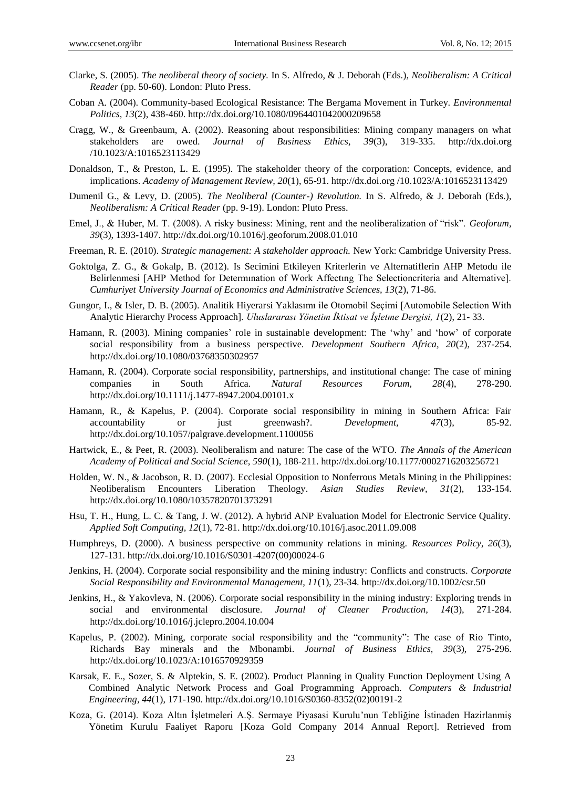- Clarke, S. (2005). *The neoliberal theory of society.* In S. Alfredo, & J. Deborah (Eds.), *Neoliberalism: A Critical Reader* (pp. 50-60). London: Pluto Press.
- Coban A. (2004). Community-based Ecological Resistance: The Bergama Movement in Turkey. *Environmental Politics, 13*(2), 438-460. http://dx.doi.org/10.1080/0964401042000209658
- Cragg, W., & Greenbaum, A. (2002). Reasoning about responsibilities: Mining company managers on what stakeholders are owed. *Journal of Business Ethics, 39*(3), 319-335. http://dx.doi.org /10.1023/A:1016523113429
- Donaldson, T., & Preston, L. E. (1995). The stakeholder theory of the corporation: Concepts, evidence, and implications. *Academy of Management Review, 20*(1), 65-91. http://dx.doi.org /10.1023/A:1016523113429
- Dumenil G., & Levy, D. (2005). *The Neoliberal (Counter-) Revolution.* In S. Alfredo, & J. Deborah (Eds.), *Neoliberalism: A Critical Reader* (pp. 9-19). London: Pluto Press.
- Emel, J., & Huber, M. T. (2008). A risky business: Mining, rent and the neoliberalization of "risk". *Geoforum, 39*(3), 1393-1407. http://dx.doi.org/10.1016/j.geoforum.2008.01.010
- Freeman, R. E. (2010). *Strategic management: A stakeholder approach.* New York: Cambridge University Press.
- Goktolga, Z. G., & Gokalp, B. (2012). Is Secimini Etkileyen Kriterlerin ve Alternatiflerin AHP Metodu ile Belirlenmesi [AHP Method for Determınation of Work Affectıng The Selectioncriteria and Alternative]. *Cumhuriyet University Journal of Economics and Administrative Sciences, 13*(2), 71-86.
- Gungor, I., & Isler, D. B. (2005). Analitik Hiyerarsi Yaklasımı ile Otomobil Seçimi [Automobile Selection With Analytic Hierarchy Process Approach]. *Uluslararası Yönetim İktisat ve İşletme Dergisi, 1*(2), 21- 33.
- Hamann, R. (2003). Mining companies' role in sustainable development: The 'why' and 'how' of corporate social responsibility from a business perspective. *Development Southern Africa, 20*(2), 237-254. http://dx.doi.org/10.1080/03768350302957
- Hamann, R. (2004). Corporate social responsibility, partnerships, and institutional change: The case of mining companies in South Africa. *Natural Resources Forum, 28*(4), 278-290. http://dx.doi.org/10.1111/j.1477-8947.2004.00101.x
- Hamann, R., & Kapelus, P. (2004). Corporate social responsibility in mining in Southern Africa: Fair accountability or just greenwash?. *Development, 47*(3), 85-92. http://dx.doi.org/10.1057/palgrave.development.1100056
- Hartwick, E., & Peet, R. (2003). Neoliberalism and nature: The case of the WTO. *The Annals of the American Academy of Political and Social Science, 590*(1), 188-211. http://dx.doi.org/10.1177/0002716203256721
- Holden, W. N., & Jacobson, R. D. (2007). Ecclesial Opposition to Nonferrous Metals Mining in the Philippines: Neoliberalism Encounters Liberation Theology. *Asian Studies Review, 31*(2), 133-154. http://dx.doi.org/10.1080/10357820701373291
- Hsu, T. H., Hung, L. C. & Tang, J. W. (2012). A hybrid ANP Evaluation Model for Electronic Service Quality. *Applied Soft Computing, 12*(1), 72-81. http://dx.doi.org/10.1016/j.asoc.2011.09.008
- Humphreys, D. (2000). A business perspective on community relations in mining. *Resources Policy, 26*(3), 127-131. http://dx.doi.org/10.1016/S0301-4207(00)00024-6
- Jenkins, H. (2004). Corporate social responsibility and the mining industry: Conflicts and constructs. *Corporate Social Responsibility and Environmental Management, 11*(1), 23-34. http://dx.doi.org/10.1002/csr.50
- Jenkins, H., & Yakovleva, N. (2006). Corporate social responsibility in the mining industry: Exploring trends in social and environmental disclosure. *Journal of Cleaner Production, 14*(3), 271-284. http://dx.doi.org/10.1016/j.jclepro.2004.10.004
- Kapelus, P. (2002). Mining, corporate social responsibility and the "community": The case of Rio Tinto, Richards Bay minerals and the Mbonambi. *Journal of Business Ethics, 39*(3), 275-296. http://dx.doi.org/10.1023/A:1016570929359
- Karsak, E. E., Sozer, S. & Alptekin, S. E. (2002). Product Planning in Quality Function Deployment Using A Combined Analytic Network Process and Goal Programming Approach. *Computers & Industrial Engineering, 44*(1), 171-190. http://dx.doi.org/10.1016/S0360-8352(02)00191-2
- Koza, G. (2014). Koza Altın İşletmeleri A.Ş. Sermaye Piyasasi Kurulu"nun Tebliğine İstinaden Hazirlanmiş Yönetim Kurulu Faaliyet Raporu [Koza Gold Company 2014 Annual Report]. Retrieved from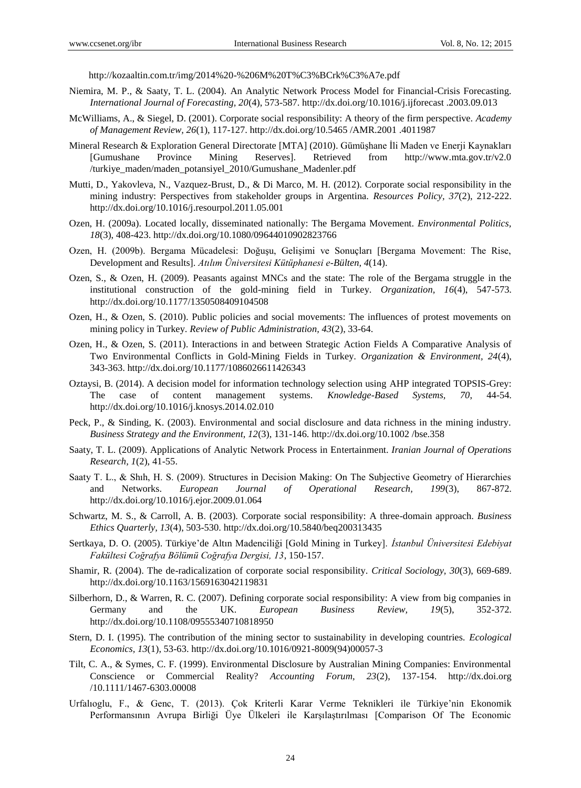http://kozaaltin.com.tr/img/2014%20-%206M%20T%C3%BCrk%C3%A7e.pdf

- Niemira, M. P., & Saaty, T. L. (2004). An Analytic Network Process Model for Financial-Crisis Forecasting. *International Journal of Forecasting, 20*(4), 573-587. http://dx.doi.org/10.1016/j.ijforecast .2003.09.013
- McWilliams, A., & Siegel, D. (2001). Corporate social responsibility: A theory of the firm perspective. *Academy of Management Review, 26*(1), 117-127. http://dx.doi.org/10.5465 /AMR.2001 .4011987
- Mineral Research & Exploration General Directorate [MTA] (2010). Gümüşhane İli Maden ve Enerji Kaynakları [Gumushane Province Mining Reserves]. Retrieved from http://www.mta.gov.tr/v2.0 /turkiye\_maden/maden\_potansiyel\_2010/Gumushane\_Madenler.pdf
- Mutti, D., Yakovleva, N., Vazquez-Brust, D., & Di Marco, M. H. (2012). Corporate social responsibility in the mining industry: Perspectives from stakeholder groups in Argentina. *Resources Policy, 37*(2), 212-222. http://dx.doi.org/10.1016/j.resourpol.2011.05.001
- Ozen, H. (2009a). Located locally, disseminated nationally: The Bergama Movement. *Environmental Politics, 18*(3), 408-423. http://dx.doi.org/10.1080/09644010902823766
- Ozen, H. (2009b). Bergama Mücadelesi: Doğuşu, Gelişimi ve Sonuçları [Bergama Movement: The Rise, Development and Results]. *Atılım Üniversitesi Kütüphanesi e-Bülten, 4*(14).
- Ozen, S., & Ozen, H. (2009). Peasants against MNCs and the state: The role of the Bergama struggle in the institutional construction of the gold-mining field in Turkey. *Organization, 16*(4), 547-573. http://dx.doi.org/10.1177/1350508409104508
- Ozen, H., & Ozen, S. (2010). Public policies and social movements: The influences of protest movements on mining policy in Turkey. *Review of Public Administration, 43*(2), 33-64.
- Ozen, H., & Ozen, S. (2011). Interactions in and between Strategic Action Fields A Comparative Analysis of Two Environmental Conflicts in Gold-Mining Fields in Turkey. *Organization & Environment, 24*(4), 343-363. http://dx.doi.org/10.1177/1086026611426343
- Oztaysi, B. (2014). A decision model for information technology selection using AHP integrated TOPSIS-Grey: The case of content management systems. *Knowledge-Based Systems, 70*, 44-54. http://dx.doi.org/10.1016/j.knosys.2014.02.010
- Peck, P., & Sinding, K. (2003). Environmental and social disclosure and data richness in the mining industry. *Business Strategy and the Environment, 12*(3), 131-146. http://dx.doi.org/10.1002 /bse.358
- Saaty, T. L. (2009). Applications of Analytic Network Process in Entertainment. *Iranian Journal of Operations Research, 1*(2), 41-55.
- Saaty T. L., & Shıh, H. S. (2009). Structures in Decision Making: On The Subjective Geometry of Hierarchies and Networks. *European Journal of Operational Research, 199*(3), 867-872. http://dx.doi.org/10.1016/j.ejor.2009.01.064
- Schwartz, M. S., & Carroll, A. B. (2003). Corporate social responsibility: A three-domain approach. *Business Ethics Quarterly, 13*(4), 503-530. http://dx.doi.org/10.5840/beq200313435
- Sertkaya, D. O. (2005). Türkiye"de Altın Madenciliği [Gold Mining in Turkey]. *İstanbul Üniversitesi Edebiyat Fakültesi Coğrafya Bölümü Coğrafya Dergisi, 13*, 150-157.
- Shamir, R. (2004). The de-radicalization of corporate social responsibility. *Critical Sociology, 30*(3), 669-689. http://dx.doi.org/10.1163/1569163042119831
- Silberhorn, D., & Warren, R. C. (2007). Defining corporate social responsibility: A view from big companies in Germany and the UK. *European Business Review, 19*(5), 352-372. http://dx.doi.org/10.1108/09555340710818950
- Stern, D. I. (1995). The contribution of the mining sector to sustainability in developing countries. *Ecological Economics, 13*(1), 53-63. http://dx.doi.org/10.1016/0921-8009(94)00057-3
- Tilt, C. A., & Symes, C. F. (1999). Environmental Disclosure by Australian Mining Companies: Environmental Conscience or Commercial Reality? *Accounting Forum, 23*(2), 137-154. http://dx.doi.org /10.1111/1467-6303.00008
- Urfalıoglu, F., & Genc, T. (2013). Çok Kriterli Karar Verme Teknikleri ile Türkiye"nin Ekonomik Performansının Avrupa Birliği Üye Ülkeleri ile Karşılaştırılması [Comparison Of The Economic